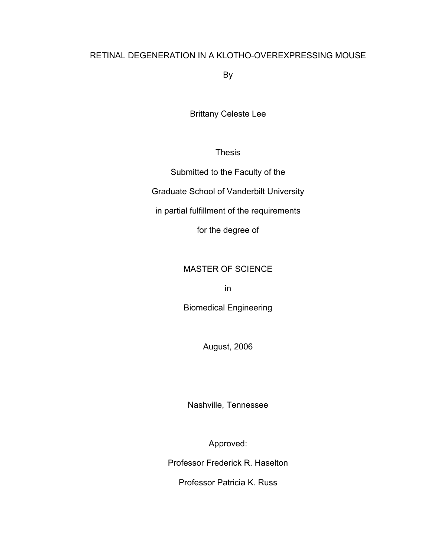# RETINAL DEGENERATION IN A KLOTHO-OVEREXPRESSING MOUSE

By

Brittany Celeste Lee

Thesis

Submitted to the Faculty of the

Graduate School of Vanderbilt University

in partial fulfillment of the requirements

for the degree of

# MASTER OF SCIENCE

in

Biomedical Engineering

August, 2006

Nashville, Tennessee

Approved:

Professor Frederick R. Haselton

Professor Patricia K. Russ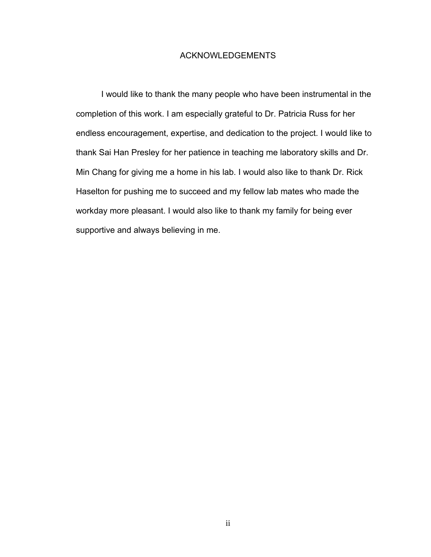## ACKNOWLEDGEMENTS

 I would like to thank the many people who have been instrumental in the completion of this work. I am especially grateful to Dr. Patricia Russ for her endless encouragement, expertise, and dedication to the project. I would like to thank Sai Han Presley for her patience in teaching me laboratory skills and Dr. Min Chang for giving me a home in his lab. I would also like to thank Dr. Rick Haselton for pushing me to succeed and my fellow lab mates who made the workday more pleasant. I would also like to thank my family for being ever supportive and always believing in me.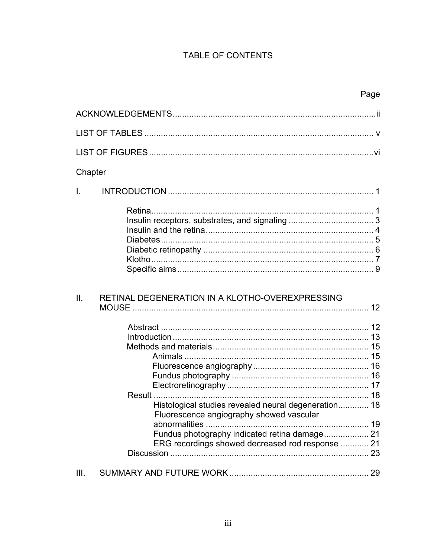# TABLE OF CONTENTS

| Chapter      |                                                                                                                                                                                                                         |  |
|--------------|-------------------------------------------------------------------------------------------------------------------------------------------------------------------------------------------------------------------------|--|
| $\mathbf{L}$ |                                                                                                                                                                                                                         |  |
|              |                                                                                                                                                                                                                         |  |
| II.          | RETINAL DEGENERATION IN A KLOTHO-OVEREXPRESSING                                                                                                                                                                         |  |
|              | <b>Result </b><br>Histological studies revealed neural degeneration 18<br>Fluorescence angiography showed vascular<br>Fundus photography indicated retina damage 21<br>ERG recordings showed decreased rod response  21 |  |
| III.         |                                                                                                                                                                                                                         |  |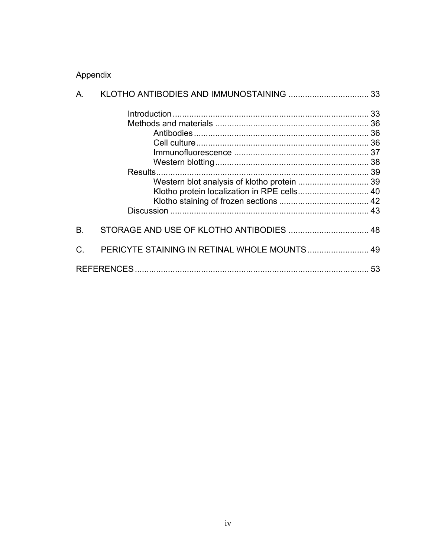# Appendix

| А.        |                                              |  |
|-----------|----------------------------------------------|--|
|           |                                              |  |
|           |                                              |  |
|           |                                              |  |
|           |                                              |  |
|           |                                              |  |
|           |                                              |  |
|           | Results.                                     |  |
|           | Western blot analysis of klotho protein  39  |  |
|           | Klotho protein localization in RPE cells 40  |  |
|           |                                              |  |
|           |                                              |  |
| <b>B.</b> |                                              |  |
| C.        | PERICYTE STAINING IN RETINAL WHOLE MOUNTS 49 |  |
|           |                                              |  |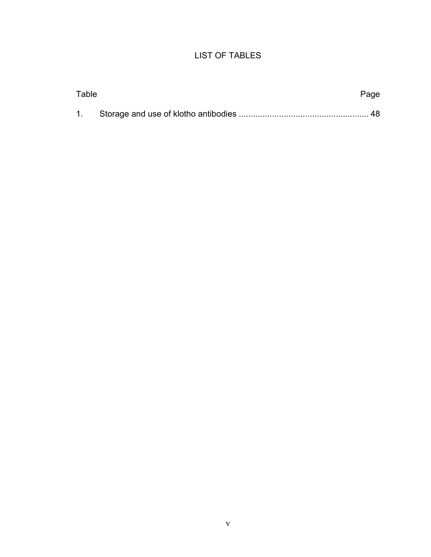# LIST OF TABLES

| Table | Page |
|-------|------|
|       |      |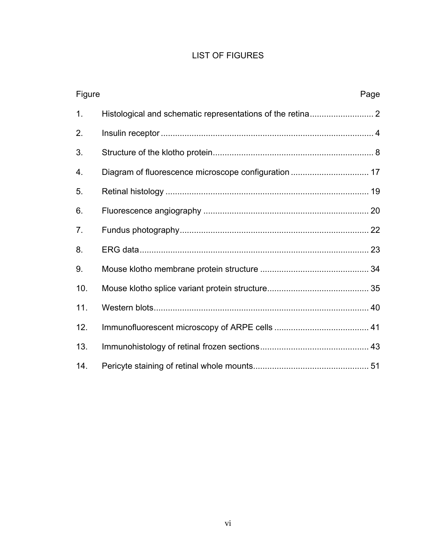# LIST OF FIGURES

| Figure         | Page |
|----------------|------|
| 1 <sub>1</sub> |      |
| 2.             |      |
| 3.             |      |
| 4.             |      |
| 5.             |      |
| 6.             |      |
| 7.             |      |
| 8.             |      |
| 9.             |      |
| 10.            |      |
| 11.            |      |
| 12.            |      |
| 13.            |      |
| 14.            |      |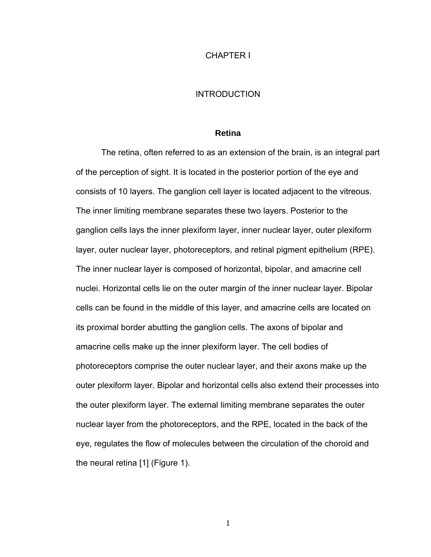#### CHAPTER I

### **INTRODUCTION**

#### **Retina**

The retina, often referred to as an extension of the brain, is an integral part of the perception of sight. It is located in the posterior portion of the eye and consists of 10 layers. The ganglion cell layer is located adjacent to the vitreous. The inner limiting membrane separates these two layers. Posterior to the ganglion cells lays the inner plexiform layer, inner nuclear layer, outer plexiform layer, outer nuclear layer, photoreceptors, and retinal pigment epithelium (RPE). The inner nuclear layer is composed of horizontal, bipolar, and amacrine cell nuclei. Horizontal cells lie on the outer margin of the inner nuclear layer. Bipolar cells can be found in the middle of this layer, and amacrine cells are located on its proximal border abutting the ganglion cells. The axons of bipolar and amacrine cells make up the inner plexiform layer. The cell bodies of photoreceptors comprise the outer nuclear layer, and their axons make up the outer plexiform layer. Bipolar and horizontal cells also extend their processes into the outer plexiform layer. The external limiting membrane separates the outer nuclear layer from the photoreceptors, and the RPE, located in the back of the eye, regulates the flow of molecules between the circulation of the choroid and the neural retina [1] (Figure 1).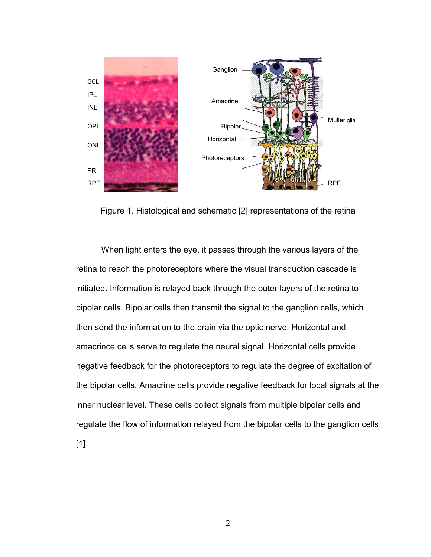

Figure 1. Histological and schematic [2] representations of the retina

When light enters the eye, it passes through the various layers of the retina to reach the photoreceptors where the visual transduction cascade is initiated. Information is relayed back through the outer layers of the retina to bipolar cells. Bipolar cells then transmit the signal to the ganglion cells, which then send the information to the brain via the optic nerve. Horizontal and amacrince cells serve to regulate the neural signal. Horizontal cells provide negative feedback for the photoreceptors to regulate the degree of excitation of the bipolar cells. Amacrine cells provide negative feedback for local signals at the inner nuclear level. These cells collect signals from multiple bipolar cells and regulate the flow of information relayed from the bipolar cells to the ganglion cells [1].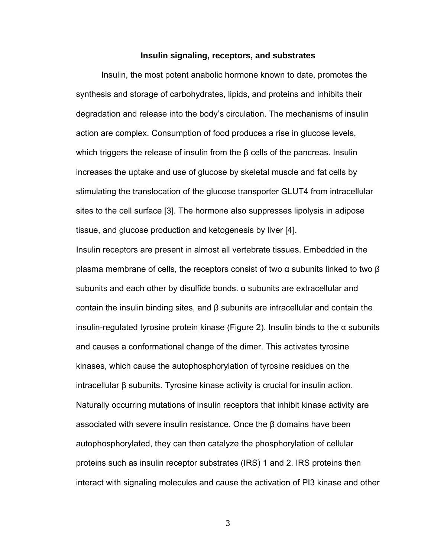#### **Insulin signaling, receptors, and substrates**

Insulin, the most potent anabolic hormone known to date, promotes the synthesis and storage of carbohydrates, lipids, and proteins and inhibits their degradation and release into the body's circulation. The mechanisms of insulin action are complex. Consumption of food produces a rise in glucose levels, which triggers the release of insulin from the β cells of the pancreas. Insulin increases the uptake and use of glucose by skeletal muscle and fat cells by stimulating the translocation of the glucose transporter GLUT4 from intracellular sites to the cell surface [3]. The hormone also suppresses lipolysis in adipose tissue, and glucose production and ketogenesis by liver [4].

Insulin receptors are present in almost all vertebrate tissues. Embedded in the plasma membrane of cells, the receptors consist of two  $α$  subunits linked to two  $β$ subunits and each other by disulfide bonds. α subunits are extracellular and contain the insulin binding sites, and β subunits are intracellular and contain the insulin-regulated tyrosine protein kinase (Figure 2). Insulin binds to the α subunits and causes a conformational change of the dimer. This activates tyrosine kinases, which cause the autophosphorylation of tyrosine residues on the intracellular β subunits. Tyrosine kinase activity is crucial for insulin action. Naturally occurring mutations of insulin receptors that inhibit kinase activity are associated with severe insulin resistance. Once the  $\beta$  domains have been autophosphorylated, they can then catalyze the phosphorylation of cellular proteins such as insulin receptor substrates (IRS) 1 and 2. IRS proteins then interact with signaling molecules and cause the activation of PI3 kinase and other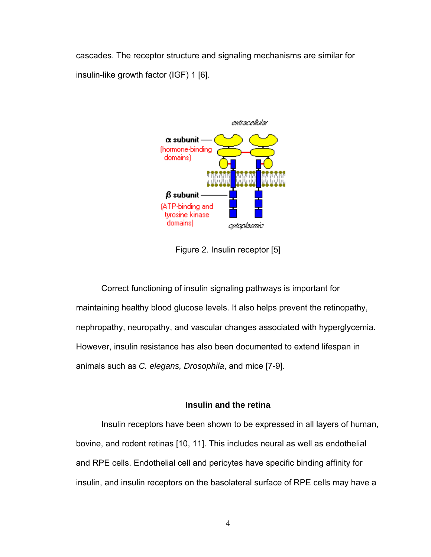cascades. The receptor structure and signaling mechanisms are similar for insulin-like growth factor (IGF) 1 [6].



Figure 2. Insulin receptor [5]

Correct functioning of insulin signaling pathways is important for maintaining healthy blood glucose levels. It also helps prevent the retinopathy, nephropathy, neuropathy, and vascular changes associated with hyperglycemia. However, insulin resistance has also been documented to extend lifespan in animals such as *C. elegans, Drosophila*, and mice [7-9].

# **Insulin and the retina**

Insulin receptors have been shown to be expressed in all layers of human, bovine, and rodent retinas [10, 11]. This includes neural as well as endothelial and RPE cells. Endothelial cell and pericytes have specific binding affinity for insulin, and insulin receptors on the basolateral surface of RPE cells may have a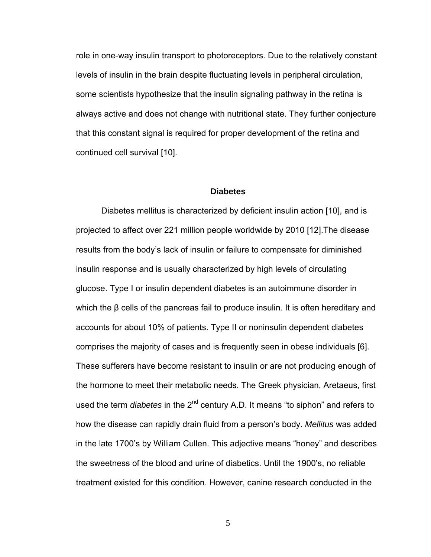role in one-way insulin transport to photoreceptors. Due to the relatively constant levels of insulin in the brain despite fluctuating levels in peripheral circulation, some scientists hypothesize that the insulin signaling pathway in the retina is always active and does not change with nutritional state. They further conjecture that this constant signal is required for proper development of the retina and continued cell survival [10].

#### **Diabetes**

 Diabetes mellitus is characterized by deficient insulin action [10], and is projected to affect over 221 million people worldwide by 2010 [12].The disease results from the body's lack of insulin or failure to compensate for diminished insulin response and is usually characterized by high levels of circulating glucose. Type I or insulin dependent diabetes is an autoimmune disorder in which the β cells of the pancreas fail to produce insulin. It is often hereditary and accounts for about 10% of patients. Type II or noninsulin dependent diabetes comprises the majority of cases and is frequently seen in obese individuals [6]. These sufferers have become resistant to insulin or are not producing enough of the hormone to meet their metabolic needs. The Greek physician, Aretaeus, first used the term *diabetes* in the 2<sup>nd</sup> century A.D. It means "to siphon" and refers to how the disease can rapidly drain fluid from a person's body. *Mellitus* was added in the late 1700's by William Cullen. This adjective means "honey" and describes the sweetness of the blood and urine of diabetics. Until the 1900's, no reliable treatment existed for this condition. However, canine research conducted in the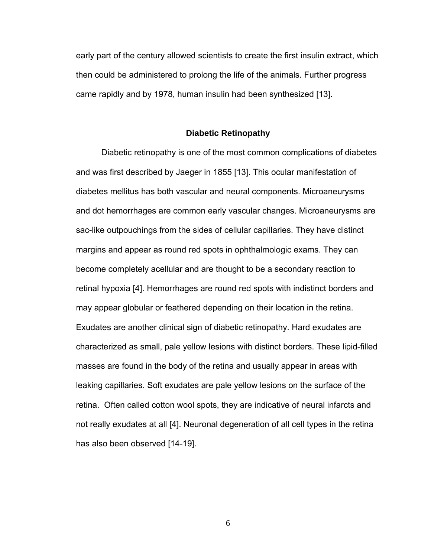early part of the century allowed scientists to create the first insulin extract, which then could be administered to prolong the life of the animals. Further progress came rapidly and by 1978, human insulin had been synthesized [13].

#### **Diabetic Retinopathy**

Diabetic retinopathy is one of the most common complications of diabetes and was first described by Jaeger in 1855 [13]. This ocular manifestation of diabetes mellitus has both vascular and neural components. Microaneurysms and dot hemorrhages are common early vascular changes. Microaneurysms are sac-like outpouchings from the sides of cellular capillaries. They have distinct margins and appear as round red spots in ophthalmologic exams. They can become completely acellular and are thought to be a secondary reaction to retinal hypoxia [4]. Hemorrhages are round red spots with indistinct borders and may appear globular or feathered depending on their location in the retina. Exudates are another clinical sign of diabetic retinopathy. Hard exudates are characterized as small, pale yellow lesions with distinct borders. These lipid-filled masses are found in the body of the retina and usually appear in areas with leaking capillaries. Soft exudates are pale yellow lesions on the surface of the retina. Often called cotton wool spots, they are indicative of neural infarcts and not really exudates at all [4]. Neuronal degeneration of all cell types in the retina has also been observed [14-19].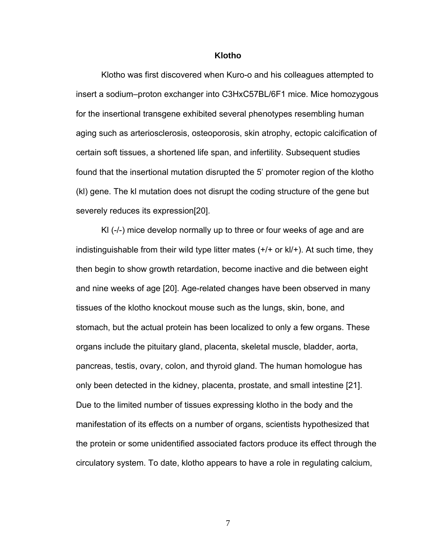#### **Klotho**

Klotho was first discovered when Kuro-o and his colleagues attempted to insert a sodium–proton exchanger into C3HxC57BL/6F1 mice. Mice homozygous for the insertional transgene exhibited several phenotypes resembling human aging such as arteriosclerosis, osteoporosis, skin atrophy, ectopic calcification of certain soft tissues, a shortened life span, and infertility. Subsequent studies found that the insertional mutation disrupted the 5' promoter region of the klotho (kl) gene. The kl mutation does not disrupt the coding structure of the gene but severely reduces its expression[20].

Kl (-/-) mice develop normally up to three or four weeks of age and are indistinguishable from their wild type litter mates (+/+ or kl/+). At such time, they then begin to show growth retardation, become inactive and die between eight and nine weeks of age [20]. Age-related changes have been observed in many tissues of the klotho knockout mouse such as the lungs, skin, bone, and stomach, but the actual protein has been localized to only a few organs. These organs include the pituitary gland, placenta, skeletal muscle, bladder, aorta, pancreas, testis, ovary, colon, and thyroid gland. The human homologue has only been detected in the kidney, placenta, prostate, and small intestine [21]. Due to the limited number of tissues expressing klotho in the body and the manifestation of its effects on a number of organs, scientists hypothesized that the protein or some unidentified associated factors produce its effect through the circulatory system. To date, klotho appears to have a role in regulating calcium,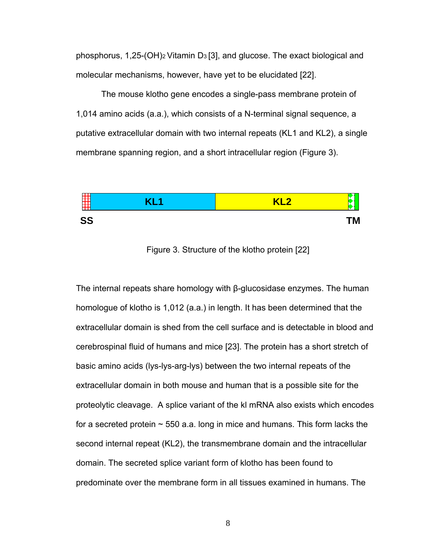phosphorus, 1,25-(OH)2 Vitamin D3 [3], and glucose. The exact biological and molecular mechanisms, however, have yet to be elucidated [22].

 The mouse klotho gene encodes a single-pass membrane protein of 1,014 amino acids (a.a.), which consists of a N-terminal signal sequence, a putative extracellular domain with two internal repeats (KL1 and KL2), a single membrane spanning region, and a short intracellular region (Figure 3).



Figure 3. Structure of the klotho protein [22]

The internal repeats share homology with β-glucosidase enzymes. The human homologue of klotho is 1,012 (a.a.) in length. It has been determined that the extracellular domain is shed from the cell surface and is detectable in blood and cerebrospinal fluid of humans and mice [23]. The protein has a short stretch of basic amino acids (lys-lys-arg-lys) between the two internal repeats of the extracellular domain in both mouse and human that is a possible site for the proteolytic cleavage. A splice variant of the kl mRNA also exists which encodes for a secreted protein  $\sim$  550 a.a. long in mice and humans. This form lacks the second internal repeat (KL2), the transmembrane domain and the intracellular domain. The secreted splice variant form of klotho has been found to predominate over the membrane form in all tissues examined in humans. The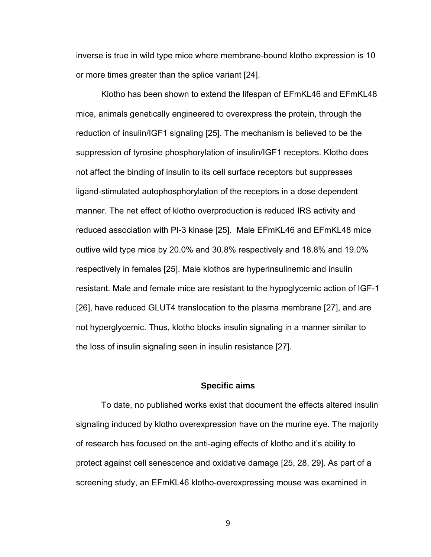inverse is true in wild type mice where membrane-bound klotho expression is 10 or more times greater than the splice variant [24].

Klotho has been shown to extend the lifespan of EFmKL46 and EFmKL48 mice, animals genetically engineered to overexpress the protein, through the reduction of insulin/IGF1 signaling [25]. The mechanism is believed to be the suppression of tyrosine phosphorylation of insulin/IGF1 receptors. Klotho does not affect the binding of insulin to its cell surface receptors but suppresses ligand-stimulated autophosphorylation of the receptors in a dose dependent manner. The net effect of klotho overproduction is reduced IRS activity and reduced association with PI-3 kinase [25]. Male EFmKL46 and EFmKL48 mice outlive wild type mice by 20.0% and 30.8% respectively and 18.8% and 19.0% respectively in females [25]. Male klothos are hyperinsulinemic and insulin resistant. Male and female mice are resistant to the hypoglycemic action of IGF-1 [26], have reduced GLUT4 translocation to the plasma membrane [27], and are not hyperglycemic. Thus, klotho blocks insulin signaling in a manner similar to the loss of insulin signaling seen in insulin resistance [27].

#### **Specific aims**

To date, no published works exist that document the effects altered insulin signaling induced by klotho overexpression have on the murine eye. The majority of research has focused on the anti-aging effects of klotho and it's ability to protect against cell senescence and oxidative damage [25, 28, 29]. As part of a screening study, an EFmKL46 klotho-overexpressing mouse was examined in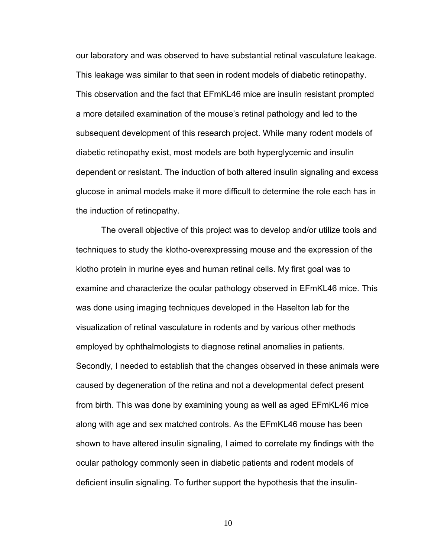our laboratory and was observed to have substantial retinal vasculature leakage. This leakage was similar to that seen in rodent models of diabetic retinopathy. This observation and the fact that EFmKL46 mice are insulin resistant prompted a more detailed examination of the mouse's retinal pathology and led to the subsequent development of this research project. While many rodent models of diabetic retinopathy exist, most models are both hyperglycemic and insulin dependent or resistant. The induction of both altered insulin signaling and excess glucose in animal models make it more difficult to determine the role each has in the induction of retinopathy.

The overall objective of this project was to develop and/or utilize tools and techniques to study the klotho-overexpressing mouse and the expression of the klotho protein in murine eyes and human retinal cells. My first goal was to examine and characterize the ocular pathology observed in EFmKL46 mice. This was done using imaging techniques developed in the Haselton lab for the visualization of retinal vasculature in rodents and by various other methods employed by ophthalmologists to diagnose retinal anomalies in patients. Secondly, I needed to establish that the changes observed in these animals were caused by degeneration of the retina and not a developmental defect present from birth. This was done by examining young as well as aged EFmKL46 mice along with age and sex matched controls. As the EFmKL46 mouse has been shown to have altered insulin signaling, I aimed to correlate my findings with the ocular pathology commonly seen in diabetic patients and rodent models of deficient insulin signaling. To further support the hypothesis that the insulin-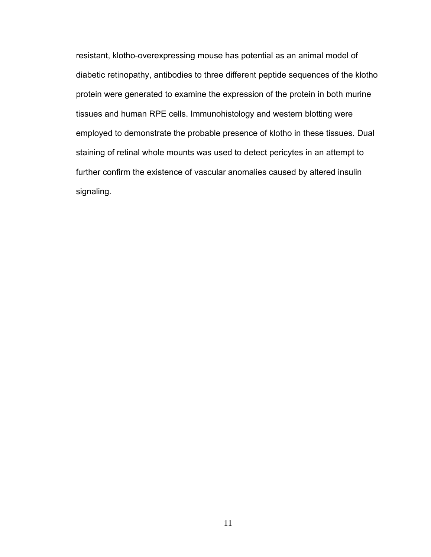resistant, klotho-overexpressing mouse has potential as an animal model of diabetic retinopathy, antibodies to three different peptide sequences of the klotho protein were generated to examine the expression of the protein in both murine tissues and human RPE cells. Immunohistology and western blotting were employed to demonstrate the probable presence of klotho in these tissues. Dual staining of retinal whole mounts was used to detect pericytes in an attempt to further confirm the existence of vascular anomalies caused by altered insulin signaling.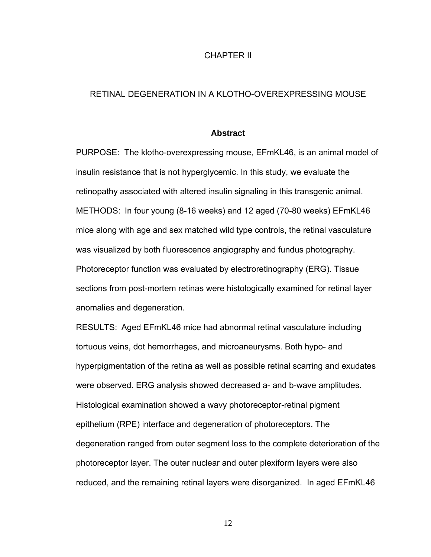## CHAPTER II

## RETINAL DEGENERATION IN A KLOTHO-OVEREXPRESSING MOUSE

#### **Abstract**

PURPOSE: The klotho-overexpressing mouse, EFmKL46, is an animal model of insulin resistance that is not hyperglycemic. In this study, we evaluate the retinopathy associated with altered insulin signaling in this transgenic animal. METHODS: In four young (8-16 weeks) and 12 aged (70-80 weeks) EFmKL46 mice along with age and sex matched wild type controls, the retinal vasculature was visualized by both fluorescence angiography and fundus photography. Photoreceptor function was evaluated by electroretinography (ERG). Tissue sections from post-mortem retinas were histologically examined for retinal layer anomalies and degeneration.

RESULTS:Aged EFmKL46 mice had abnormal retinal vasculature including tortuous veins, dot hemorrhages, and microaneurysms. Both hypo- and hyperpigmentation of the retina as well as possible retinal scarring and exudates were observed. ERG analysis showed decreased a- and b-wave amplitudes. Histological examination showed a wavy photoreceptor-retinal pigment epithelium (RPE) interface and degeneration of photoreceptors. The degeneration ranged from outer segment loss to the complete deterioration of the photoreceptor layer. The outer nuclear and outer plexiform layers were also reduced, and the remaining retinal layers were disorganized. In aged EFmKL46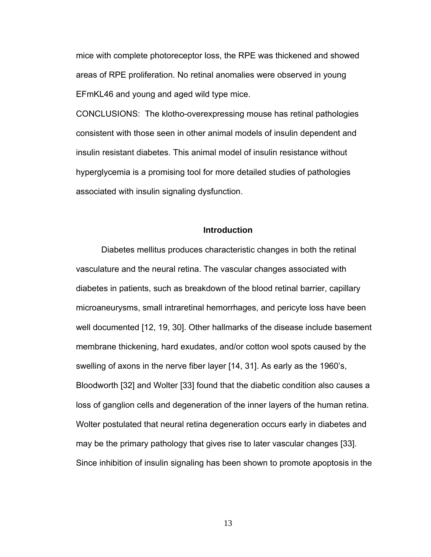mice with complete photoreceptor loss, the RPE was thickened and showed areas of RPE proliferation. No retinal anomalies were observed in young EFmKL46 and young and aged wild type mice.

CONCLUSIONS:The klotho-overexpressing mouse has retinal pathologies consistent with those seen in other animal models of insulin dependent and insulin resistant diabetes. This animal model of insulin resistance without hyperglycemia is a promising tool for more detailed studies of pathologies associated with insulin signaling dysfunction.

#### **Introduction**

Diabetes mellitus produces characteristic changes in both the retinal vasculature and the neural retina. The vascular changes associated with diabetes in patients, such as breakdown of the blood retinal barrier, capillary microaneurysms, small intraretinal hemorrhages, and pericyte loss have been well documented [12, 19, 30]. Other hallmarks of the disease include basement membrane thickening, hard exudates, and/or cotton wool spots caused by the swelling of axons in the nerve fiber layer [14, 31]. As early as the 1960's, Bloodworth [32] and Wolter [33] found that the diabetic condition also causes a loss of ganglion cells and degeneration of the inner layers of the human retina. Wolter postulated that neural retina degeneration occurs early in diabetes and may be the primary pathology that gives rise to later vascular changes [33]. Since inhibition of insulin signaling has been shown to promote apoptosis in the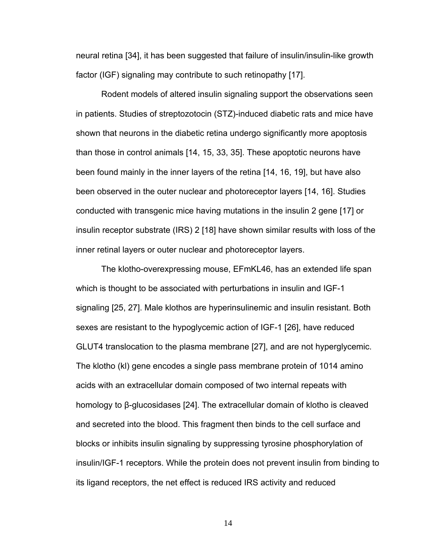neural retina [34], it has been suggested that failure of insulin/insulin-like growth factor (IGF) signaling may contribute to such retinopathy [17].

Rodent models of altered insulin signaling support the observations seen in patients. Studies of streptozotocin (STZ)-induced diabetic rats and mice have shown that neurons in the diabetic retina undergo significantly more apoptosis than those in control animals [14, 15, 33, 35]. These apoptotic neurons have been found mainly in the inner layers of the retina [14, 16, 19], but have also been observed in the outer nuclear and photoreceptor layers [14, 16]. Studies conducted with transgenic mice having mutations in the insulin 2 gene [17] or insulin receptor substrate (IRS) 2 [18] have shown similar results with loss of the inner retinal layers or outer nuclear and photoreceptor layers.

The klotho-overexpressing mouse, EFmKL46, has an extended life span which is thought to be associated with perturbations in insulin and IGF-1 signaling [25, 27]. Male klothos are hyperinsulinemic and insulin resistant. Both sexes are resistant to the hypoglycemic action of IGF-1 [26], have reduced GLUT4 translocation to the plasma membrane [27], and are not hyperglycemic. The klotho (kl) gene encodes a single pass membrane protein of 1014 amino acids with an extracellular domain composed of two internal repeats with homology to β-glucosidases [24]. The extracellular domain of klotho is cleaved and secreted into the blood. This fragment then binds to the cell surface and blocks or inhibits insulin signaling by suppressing tyrosine phosphorylation of insulin/IGF-1 receptors. While the protein does not prevent insulin from binding to its ligand receptors, the net effect is reduced IRS activity and reduced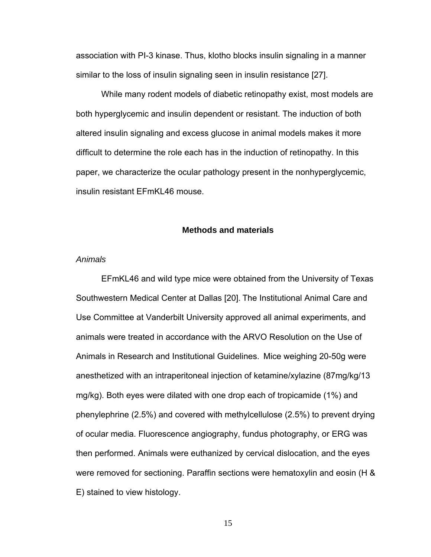association with PI-3 kinase. Thus, klotho blocks insulin signaling in a manner similar to the loss of insulin signaling seen in insulin resistance [27].

While many rodent models of diabetic retinopathy exist, most models are both hyperglycemic and insulin dependent or resistant. The induction of both altered insulin signaling and excess glucose in animal models makes it more difficult to determine the role each has in the induction of retinopathy. In this paper, we characterize the ocular pathology present in the nonhyperglycemic, insulin resistant EFmKL46 mouse.

#### **Methods and materials**

## *Animals*

EFmKL46 and wild type mice were obtained from the University of Texas Southwestern Medical Center at Dallas [20]. The Institutional Animal Care and Use Committee at Vanderbilt University approved all animal experiments, and animals were treated in accordance with the ARVO Resolution on the Use of Animals in Research and Institutional Guidelines. Mice weighing 20-50g were anesthetized with an intraperitoneal injection of ketamine/xylazine (87mg/kg/13 mg/kg). Both eyes were dilated with one drop each of tropicamide (1%) and phenylephrine (2.5%) and covered with methylcellulose (2.5%) to prevent drying of ocular media. Fluorescence angiography, fundus photography, or ERG was then performed. Animals were euthanized by cervical dislocation, and the eyes were removed for sectioning. Paraffin sections were hematoxylin and eosin (H & E) stained to view histology.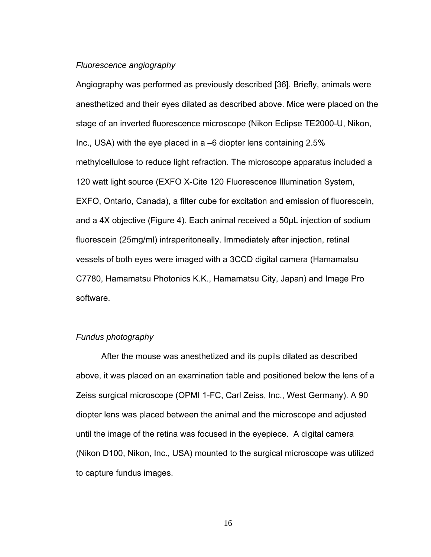### *Fluorescence angiography*

Angiography was performed as previously described [36]. Briefly, animals were anesthetized and their eyes dilated as described above. Mice were placed on the stage of an inverted fluorescence microscope (Nikon Eclipse TE2000-U, Nikon, Inc., USA) with the eye placed in a –6 diopter lens containing 2.5% methylcellulose to reduce light refraction. The microscope apparatus included a 120 watt light source (EXFO X-Cite 120 Fluorescence Illumination System, EXFO, Ontario, Canada), a filter cube for excitation and emission of fluorescein, and a 4X objective (Figure 4). Each animal received a 50µL injection of sodium fluorescein (25mg/ml) intraperitoneally. Immediately after injection, retinal vessels of both eyes were imaged with a 3CCD digital camera (Hamamatsu C7780, Hamamatsu Photonics K.K., Hamamatsu City, Japan) and Image Pro software.

## *Fundus photography*

After the mouse was anesthetized and its pupils dilated as described above, it was placed on an examination table and positioned below the lens of a Zeiss surgical microscope (OPMI 1-FC, Carl Zeiss, Inc., West Germany). A 90 diopter lens was placed between the animal and the microscope and adjusted until the image of the retina was focused in the eyepiece. A digital camera (Nikon D100, Nikon, Inc., USA) mounted to the surgical microscope was utilized to capture fundus images.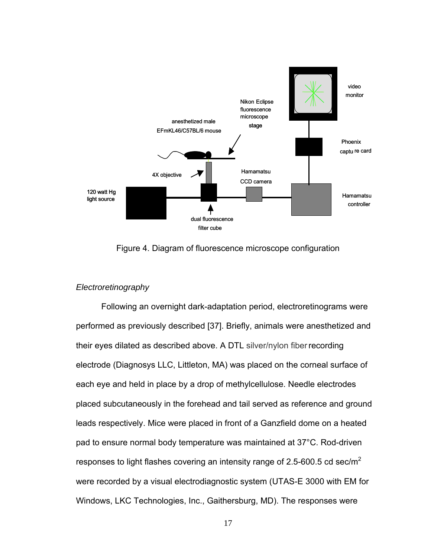

Figure 4. Diagram of fluorescence microscope configuration

## *Electroretinography*

Following an overnight dark-adaptation period, electroretinograms were performed as previously described [37]. Briefly, animals were anesthetized and their eyes dilated as described above. A DTL silver/nylon fiberrecording electrode (Diagnosys LLC, Littleton, MA) was placed on the corneal surface of each eye and held in place by a drop of methylcellulose. Needle electrodes placed subcutaneously in the forehead and tail served as reference and ground leads respectively. Mice were placed in front of a Ganzfield dome on a heated pad to ensure normal body temperature was maintained at 37°C. Rod-driven responses to light flashes covering an intensity range of 2.5-600.5 cd sec/m<sup>2</sup> were recorded by a visual electrodiagnostic system (UTAS-E 3000 with EM for Windows, LKC Technologies, Inc., Gaithersburg, MD). The responses were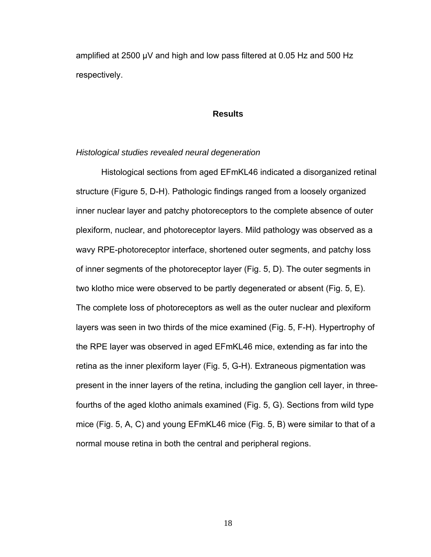amplified at 2500 µV and high and low pass filtered at 0.05 Hz and 500 Hz respectively.

#### **Results**

#### *Histological studies revealed neural degeneration*

Histological sections from aged EFmKL46 indicated a disorganized retinal structure (Figure 5, D-H). Pathologic findings ranged from a loosely organized inner nuclear layer and patchy photoreceptors to the complete absence of outer plexiform, nuclear, and photoreceptor layers. Mild pathology was observed as a wavy RPE-photoreceptor interface, shortened outer segments, and patchy loss of inner segments of the photoreceptor layer (Fig. 5, D). The outer segments in two klotho mice were observed to be partly degenerated or absent (Fig. 5, E). The complete loss of photoreceptors as well as the outer nuclear and plexiform layers was seen in two thirds of the mice examined (Fig. 5, F-H). Hypertrophy of the RPE layer was observed in aged EFmKL46 mice, extending as far into the retina as the inner plexiform layer (Fig. 5, G-H). Extraneous pigmentation was present in the inner layers of the retina, including the ganglion cell layer, in threefourths of the aged klotho animals examined (Fig. 5, G). Sections from wild type mice (Fig. 5, A, C) and young EFmKL46 mice (Fig. 5, B) were similar to that of a normal mouse retina in both the central and peripheral regions.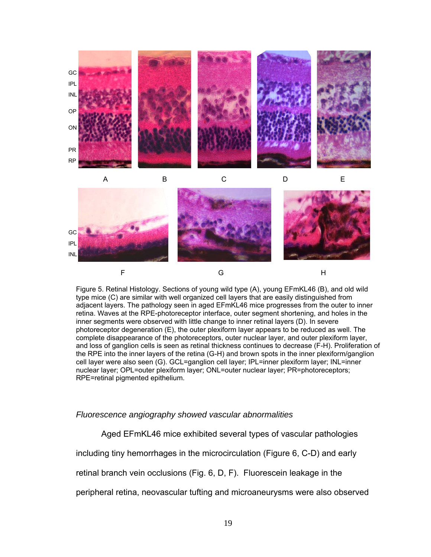

Figure 5. Retinal Histology. Sections of young wild type (A), young EFmKL46 (B), and old wild type mice (C) are similar with well organized cell layers that are easily distinguished from adjacent layers. The pathology seen in aged EFmKL46 mice progresses from the outer to inner retina. Waves at the RPE-photoreceptor interface, outer segment shortening, and holes in the inner segments were observed with little change to inner retinal layers (D). In severe photoreceptor degeneration (E), the outer plexiform layer appears to be reduced as well. The complete disappearance of the photoreceptors, outer nuclear layer, and outer plexiform layer, and loss of ganglion cells is seen as retinal thickness continues to decrease (F-H). Proliferation of the RPE into the inner layers of the retina (G-H) and brown spots in the inner plexiform/ganglion cell layer were also seen (G). GCL=ganglion cell layer; IPL=inner plexiform layer; INL=inner nuclear layer; OPL=outer plexiform layer; ONL=outer nuclear layer; PR=photoreceptors; RPE=retinal pigmented epithelium.

### *Fluorescence angiography showed vascular abnormalities*

Aged EFmKL46 mice exhibited several types of vascular pathologies

including tiny hemorrhages in the microcirculation (Figure 6, C-D) and early

retinal branch vein occlusions (Fig. 6, D, F). Fluorescein leakage in the

peripheral retina, neovascular tufting and microaneurysms were also observed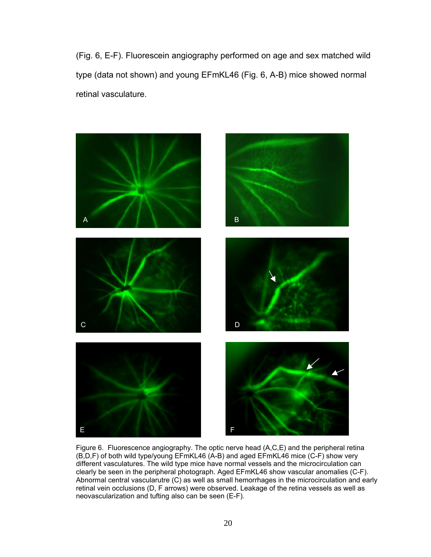(Fig. 6, E-F). Fluorescein angiography performed on age and sex matched wild type (data not shown) and young EFmKL46 (Fig. 6, A-B) mice showed normal retinal vasculature.



Figure 6. Fluorescence angiography. The optic nerve head (A,C,E) and the peripheral retina (B,D,F) of both wild type/young EFmKL46 (A-B) and aged EFmKL46 mice (C-F) show very different vasculatures. The wild type mice have normal vessels and the microcirculation can clearly be seen in the peripheral photograph. Aged EFmKL46 show vascular anomalies (C-F). Abnormal central vascularutre (C) as well as small hemorrhages in the microcirculation and early retinal vein occlusions (D, F arrows) were observed. Leakage of the retina vessels as well as neovascularization and tufting also can be seen (E-F).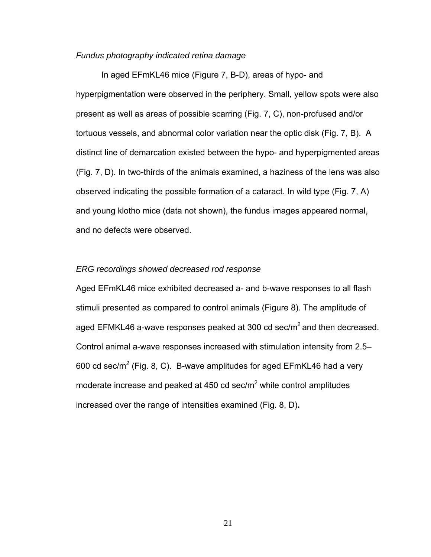#### *Fundus photography indicated retina damage*

In aged EFmKL46 mice (Figure 7, B-D), areas of hypo- and hyperpigmentation were observed in the periphery. Small, yellow spots were also present as well as areas of possible scarring (Fig. 7, C), non-profused and/or tortuous vessels, and abnormal color variation near the optic disk (Fig. 7, B). A distinct line of demarcation existed between the hypo- and hyperpigmented areas (Fig. 7, D). In two-thirds of the animals examined, a haziness of the lens was also observed indicating the possible formation of a cataract. In wild type (Fig. 7, A) and young klotho mice (data not shown), the fundus images appeared normal, and no defects were observed.

#### *ERG recordings showed decreased rod response*

Aged EFmKL46 mice exhibited decreased a- and b-wave responses to all flash stimuli presented as compared to control animals (Figure 8). The amplitude of aged EFMKL46 a-wave responses peaked at 300 cd sec/ $m^2$  and then decreased. Control animal a-wave responses increased with stimulation intensity from 2.5– 600 cd sec/m<sup>2</sup> (Fig. 8, C). B-wave amplitudes for aged EFmKL46 had a very moderate increase and peaked at 450 cd sec/ $m^2$  while control amplitudes increased over the range of intensities examined (Fig. 8, D)**.**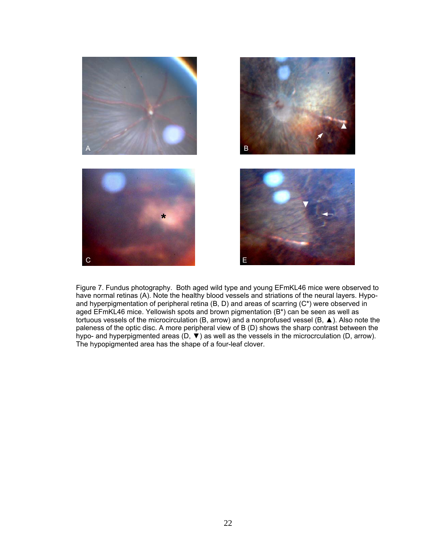

Figure 7. Fundus photography. Both aged wild type and young EFmKL46 mice were observed to have normal retinas (A). Note the healthy blood vessels and striations of the neural layers. Hypoand hyperpigmentation of peripheral retina (B, D) and areas of scarring (C\*) were observed in aged EFmKL46 mice. Yellowish spots and brown pigmentation (B\*) can be seen as well as tortuous vessels of the microcirculation (B, arrow) and a nonprofused vessel (B, ▲). Also note the paleness of the optic disc. A more peripheral view of B (D) shows the sharp contrast between the hypo- and hyperpigmented areas (D, ▼) as well as the vessels in the microcrculation (D, arrow). The hypopigmented area has the shape of a four-leaf clover.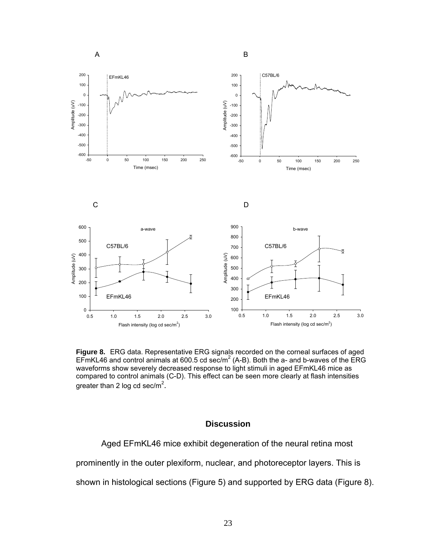



**Figure 8.** ERG data. Representative ERG signals recorded on the corneal surfaces of aged EFmKL46 and control animals at 600.5 cd sec/m<sup>2</sup> (A-B). Both the a- and b-waves of the ERG waveforms show severely decreased response to light stimuli in aged EFmKL46 mice as compared to control animals (C-D). This effect can be seen more clearly at flash intensities greater than 2 log cd sec/m<sup>2</sup>.

#### **Discussion**

Aged EFmKL46 mice exhibit degeneration of the neural retina most

prominently in the outer plexiform, nuclear, and photoreceptor layers. This is

shown in histological sections (Figure 5) and supported by ERG data (Figure 8).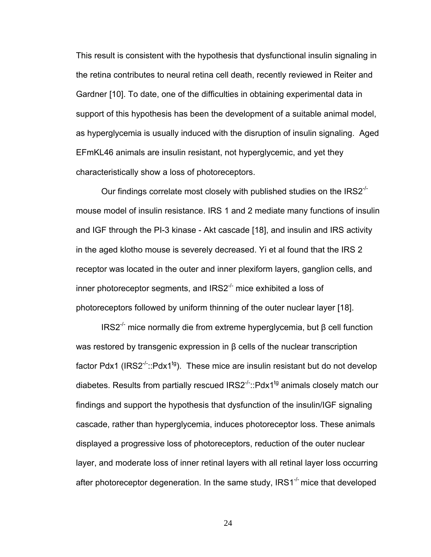This result is consistent with the hypothesis that dysfunctional insulin signaling in the retina contributes to neural retina cell death, recently reviewed in Reiter and Gardner [10]. To date, one of the difficulties in obtaining experimental data in support of this hypothesis has been the development of a suitable animal model, as hyperglycemia is usually induced with the disruption of insulin signaling. Aged EFmKL46 animals are insulin resistant, not hyperglycemic, and yet they characteristically show a loss of photoreceptors.

Our findings correlate most closely with published studies on the  $IRS2<sup>-/</sup>$ mouse model of insulin resistance. IRS 1 and 2 mediate many functions of insulin and IGF through the PI-3 kinase - Akt cascade [18], and insulin and IRS activity in the aged klotho mouse is severely decreased. Yi et al found that the IRS 2 receptor was located in the outer and inner plexiform layers, ganglion cells, and inner photoreceptor segments, and  $IRS2^{-1}$  mice exhibited a loss of photoreceptors followed by uniform thinning of the outer nuclear layer [18].

IRS2-/- mice normally die from extreme hyperglycemia, but β cell function was restored by transgenic expression in β cells of the nuclear transcription factor Pdx1 ( $IRS2<sup>-/-</sup>:Pdx1<sup>tg</sup>$ ). These mice are insulin resistant but do not develop diabetes. Results from partially rescued  $IRS2<sup>-/-</sup>:Pdx1<sup>tg</sup>$  animals closely match our findings and support the hypothesis that dysfunction of the insulin/IGF signaling cascade, rather than hyperglycemia, induces photoreceptor loss. These animals displayed a progressive loss of photoreceptors, reduction of the outer nuclear layer, and moderate loss of inner retinal layers with all retinal layer loss occurring after photoreceptor degeneration. In the same study,  $IRS1^{-/-}$  mice that developed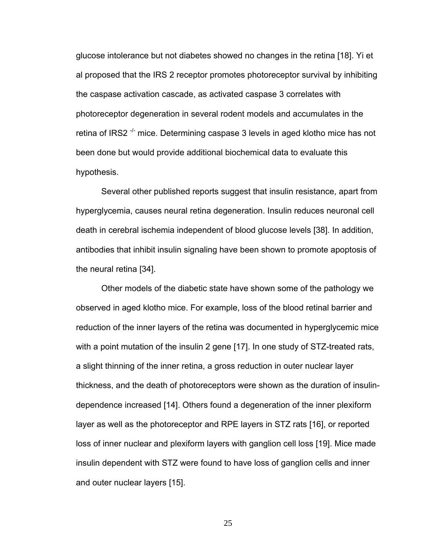glucose intolerance but not diabetes showed no changes in the retina [18]. Yi et al proposed that the IRS 2 receptor promotes photoreceptor survival by inhibiting the caspase activation cascade, as activated caspase 3 correlates with photoreceptor degeneration in several rodent models and accumulates in the retina of IRS2<sup> $-/-$ </sup> mice. Determining caspase 3 levels in aged klotho mice has not been done but would provide additional biochemical data to evaluate this hypothesis.

Several other published reports suggest that insulin resistance, apart from hyperglycemia, causes neural retina degeneration. Insulin reduces neuronal cell death in cerebral ischemia independent of blood glucose levels [38]. In addition, antibodies that inhibit insulin signaling have been shown to promote apoptosis of the neural retina [34].

Other models of the diabetic state have shown some of the pathology we observed in aged klotho mice. For example, loss of the blood retinal barrier and reduction of the inner layers of the retina was documented in hyperglycemic mice with a point mutation of the insulin 2 gene [17]. In one study of STZ-treated rats, a slight thinning of the inner retina, a gross reduction in outer nuclear layer thickness, and the death of photoreceptors were shown as the duration of insulindependence increased [14]. Others found a degeneration of the inner plexiform layer as well as the photoreceptor and RPE layers in STZ rats [16], or reported loss of inner nuclear and plexiform layers with ganglion cell loss [19]. Mice made insulin dependent with STZ were found to have loss of ganglion cells and inner and outer nuclear layers [15].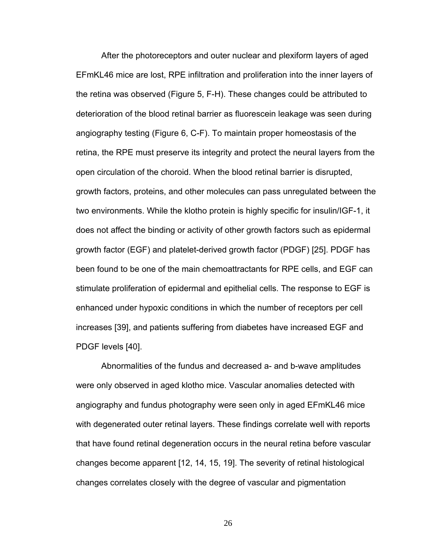After the photoreceptors and outer nuclear and plexiform layers of aged EFmKL46 mice are lost, RPE infiltration and proliferation into the inner layers of the retina was observed (Figure 5, F-H). These changes could be attributed to deterioration of the blood retinal barrier as fluorescein leakage was seen during angiography testing (Figure 6, C-F). To maintain proper homeostasis of the retina, the RPE must preserve its integrity and protect the neural layers from the open circulation of the choroid. When the blood retinal barrier is disrupted, growth factors, proteins, and other molecules can pass unregulated between the two environments. While the klotho protein is highly specific for insulin/IGF-1, it does not affect the binding or activity of other growth factors such as epidermal growth factor (EGF) and platelet-derived growth factor (PDGF) [25]. PDGF has been found to be one of the main chemoattractants for RPE cells, and EGF can stimulate proliferation of epidermal and epithelial cells. The response to EGF is enhanced under hypoxic conditions in which the number of receptors per cell increases [39], and patients suffering from diabetes have increased EGF and PDGF levels [40].

Abnormalities of the fundus and decreased a- and b-wave amplitudes were only observed in aged klotho mice. Vascular anomalies detected with angiography and fundus photography were seen only in aged EFmKL46 mice with degenerated outer retinal layers. These findings correlate well with reports that have found retinal degeneration occurs in the neural retina before vascular changes become apparent [12, 14, 15, 19]. The severity of retinal histological changes correlates closely with the degree of vascular and pigmentation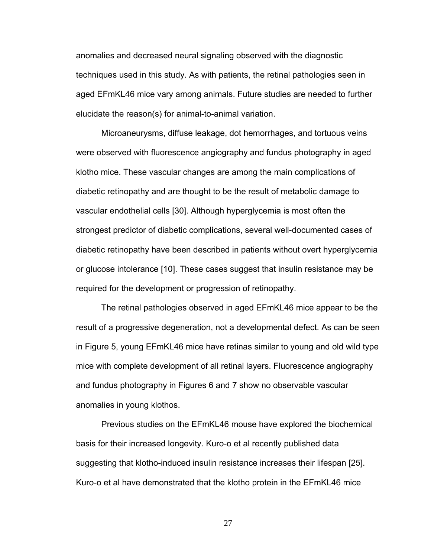anomalies and decreased neural signaling observed with the diagnostic techniques used in this study. As with patients, the retinal pathologies seen in aged EFmKL46 mice vary among animals. Future studies are needed to further elucidate the reason(s) for animal-to-animal variation.

Microaneurysms, diffuse leakage, dot hemorrhages, and tortuous veins were observed with fluorescence angiography and fundus photography in aged klotho mice. These vascular changes are among the main complications of diabetic retinopathy and are thought to be the result of metabolic damage to vascular endothelial cells [30]. Although hyperglycemia is most often the strongest predictor of diabetic complications, several well-documented cases of diabetic retinopathy have been described in patients without overt hyperglycemia or glucose intolerance [10]. These cases suggest that insulin resistance may be required for the development or progression of retinopathy.

The retinal pathologies observed in aged EFmKL46 mice appear to be the result of a progressive degeneration, not a developmental defect. As can be seen in Figure 5, young EFmKL46 mice have retinas similar to young and old wild type mice with complete development of all retinal layers. Fluorescence angiography and fundus photography in Figures 6 and 7 show no observable vascular anomalies in young klothos.

Previous studies on the EFmKL46 mouse have explored the biochemical basis for their increased longevity. Kuro-o et al recently published data suggesting that klotho-induced insulin resistance increases their lifespan [25]. Kuro-o et al have demonstrated that the klotho protein in the EFmKL46 mice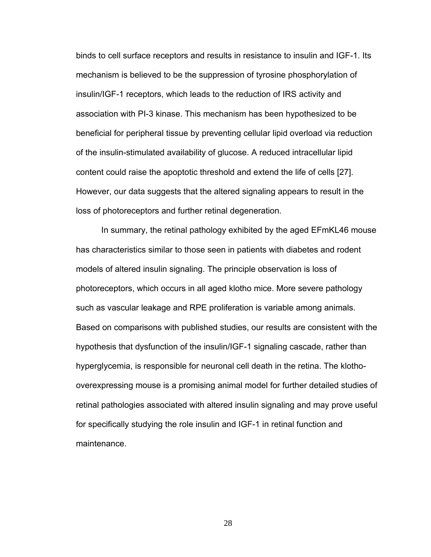binds to cell surface receptors and results in resistance to insulin and IGF-1. Its mechanism is believed to be the suppression of tyrosine phosphorylation of insulin/IGF-1 receptors, which leads to the reduction of IRS activity and association with PI-3 kinase. This mechanism has been hypothesized to be beneficial for peripheral tissue by preventing cellular lipid overload via reduction of the insulin-stimulated availability of glucose. A reduced intracellular lipid content could raise the apoptotic threshold and extend the life of cells [27]. However, our data suggests that the altered signaling appears to result in the loss of photoreceptors and further retinal degeneration.

In summary, the retinal pathology exhibited by the aged EFmKL46 mouse has characteristics similar to those seen in patients with diabetes and rodent models of altered insulin signaling. The principle observation is loss of photoreceptors, which occurs in all aged klotho mice. More severe pathology such as vascular leakage and RPE proliferation is variable among animals. Based on comparisons with published studies, our results are consistent with the hypothesis that dysfunction of the insulin/IGF-1 signaling cascade, rather than hyperglycemia, is responsible for neuronal cell death in the retina. The klothooverexpressing mouse is a promising animal model for further detailed studies of retinal pathologies associated with altered insulin signaling and may prove useful for specifically studying the role insulin and IGF-1 in retinal function and maintenance.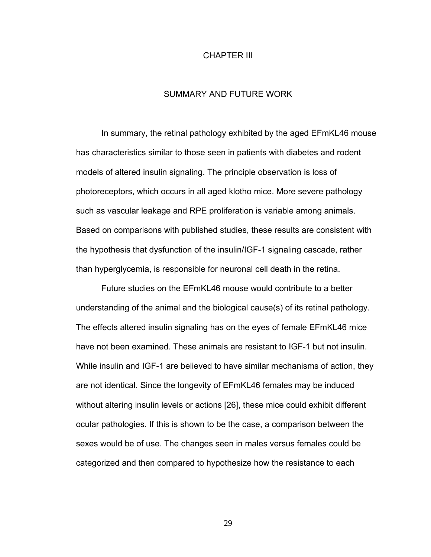### CHAPTER III

## SUMMARY AND FUTURE WORK

In summary, the retinal pathology exhibited by the aged EFmKL46 mouse has characteristics similar to those seen in patients with diabetes and rodent models of altered insulin signaling. The principle observation is loss of photoreceptors, which occurs in all aged klotho mice. More severe pathology such as vascular leakage and RPE proliferation is variable among animals. Based on comparisons with published studies, these results are consistent with the hypothesis that dysfunction of the insulin/IGF-1 signaling cascade, rather than hyperglycemia, is responsible for neuronal cell death in the retina.

Future studies on the EFmKL46 mouse would contribute to a better understanding of the animal and the biological cause(s) of its retinal pathology. The effects altered insulin signaling has on the eyes of female EFmKL46 mice have not been examined. These animals are resistant to IGF-1 but not insulin. While insulin and IGF-1 are believed to have similar mechanisms of action, they are not identical. Since the longevity of EFmKL46 females may be induced without altering insulin levels or actions [26], these mice could exhibit different ocular pathologies. If this is shown to be the case, a comparison between the sexes would be of use. The changes seen in males versus females could be categorized and then compared to hypothesize how the resistance to each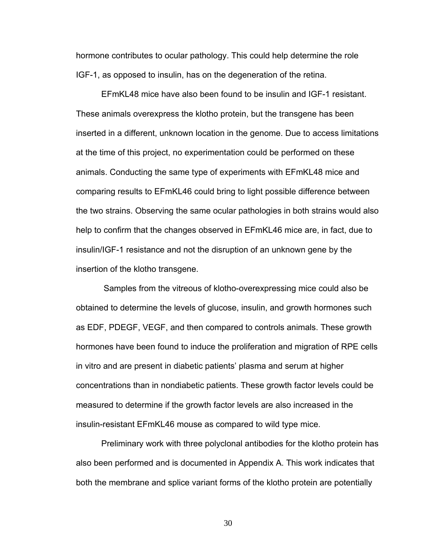hormone contributes to ocular pathology. This could help determine the role IGF-1, as opposed to insulin, has on the degeneration of the retina.

EFmKL48 mice have also been found to be insulin and IGF-1 resistant. These animals overexpress the klotho protein, but the transgene has been inserted in a different, unknown location in the genome. Due to access limitations at the time of this project, no experimentation could be performed on these animals. Conducting the same type of experiments with EFmKL48 mice and comparing results to EFmKL46 could bring to light possible difference between the two strains. Observing the same ocular pathologies in both strains would also help to confirm that the changes observed in EFmKL46 mice are, in fact, due to insulin/IGF-1 resistance and not the disruption of an unknown gene by the insertion of the klotho transgene.

 Samples from the vitreous of klotho-overexpressing mice could also be obtained to determine the levels of glucose, insulin, and growth hormones such as EDF, PDEGF, VEGF, and then compared to controls animals. These growth hormones have been found to induce the proliferation and migration of RPE cells in vitro and are present in diabetic patients' plasma and serum at higher concentrations than in nondiabetic patients. These growth factor levels could be measured to determine if the growth factor levels are also increased in the insulin-resistant EFmKL46 mouse as compared to wild type mice.

Preliminary work with three polyclonal antibodies for the klotho protein has also been performed and is documented in Appendix A. This work indicates that both the membrane and splice variant forms of the klotho protein are potentially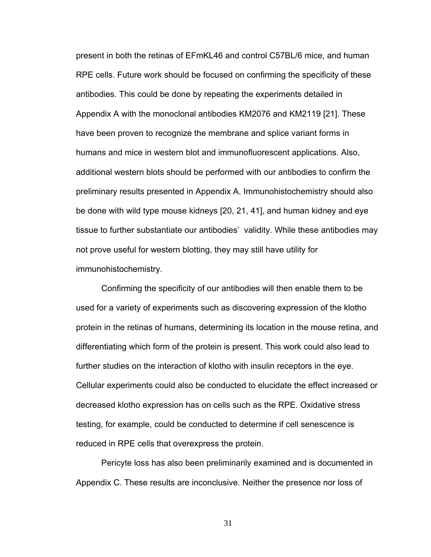present in both the retinas of EFmKL46 and control C57BL/6 mice, and human RPE cells. Future work should be focused on confirming the specificity of these antibodies. This could be done by repeating the experiments detailed in Appendix A with the monoclonal antibodies KM2076 and KM2119 [21]. These have been proven to recognize the membrane and splice variant forms in humans and mice in western blot and immunofluorescent applications. Also, additional western blots should be performed with our antibodies to confirm the preliminary results presented in Appendix A. Immunohistochemistry should also be done with wild type mouse kidneys [20, 21, 41], and human kidney and eye tissue to further substantiate our antibodies' validity. While these antibodies may not prove useful for western blotting, they may still have utility for immunohistochemistry.

Confirming the specificity of our antibodies will then enable them to be used for a variety of experiments such as discovering expression of the klotho protein in the retinas of humans, determining its location in the mouse retina, and differentiating which form of the protein is present. This work could also lead to further studies on the interaction of klotho with insulin receptors in the eye. Cellular experiments could also be conducted to elucidate the effect increased or decreased klotho expression has on cells such as the RPE. Oxidative stress testing, for example, could be conducted to determine if cell senescence is reduced in RPE cells that overexpress the protein.

Pericyte loss has also been preliminarily examined and is documented in Appendix C. These results are inconclusive. Neither the presence nor loss of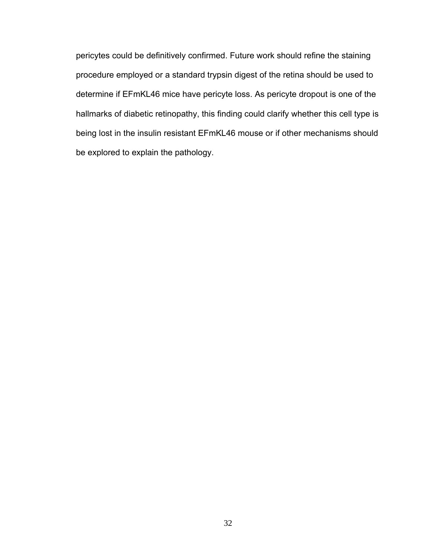pericytes could be definitively confirmed. Future work should refine the staining procedure employed or a standard trypsin digest of the retina should be used to determine if EFmKL46 mice have pericyte loss. As pericyte dropout is one of the hallmarks of diabetic retinopathy, this finding could clarify whether this cell type is being lost in the insulin resistant EFmKL46 mouse or if other mechanisms should be explored to explain the pathology.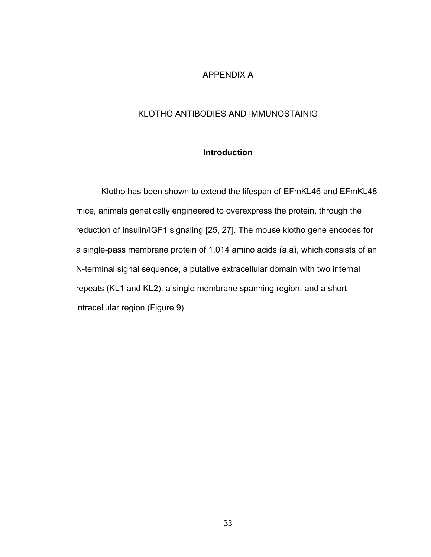## APPENDIX A

# KLOTHO ANTIBODIES AND IMMUNOSTAINIG

## **Introduction**

Klotho has been shown to extend the lifespan of EFmKL46 and EFmKL48 mice, animals genetically engineered to overexpress the protein, through the reduction of insulin/IGF1 signaling [25, 27]. The mouse klotho gene encodes for a single-pass membrane protein of 1,014 amino acids (a.a), which consists of an N-terminal signal sequence, a putative extracellular domain with two internal repeats (KL1 and KL2), a single membrane spanning region, and a short intracellular region (Figure 9).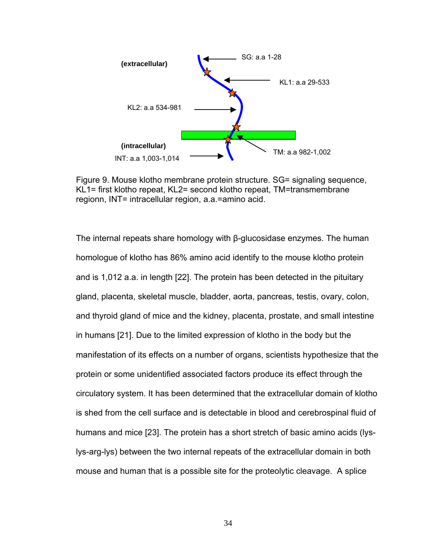

Figure 9. Mouse klotho membrane protein structure. SG= signaling sequence, KL1= first klotho repeat, KL2= second klotho repeat, TM=transmembrane regionn, INT= intracellular region, a.a.=amino acid.

The internal repeats share homology with β-glucosidase enzymes. The human homologue of klotho has 86% amino acid identify to the mouse klotho protein and is 1,012 a.a. in length [22]. The protein has been detected in the pituitary gland, placenta, skeletal muscle, bladder, aorta, pancreas, testis, ovary, colon, and thyroid gland of mice and the kidney, placenta, prostate, and small intestine in humans [21]. Due to the limited expression of klotho in the body but the manifestation of its effects on a number of organs, scientists hypothesize that the protein or some unidentified associated factors produce its effect through the circulatory system. It has been determined that the extracellular domain of klotho is shed from the cell surface and is detectable in blood and cerebrospinal fluid of humans and mice [23]. The protein has a short stretch of basic amino acids (lyslys-arg-lys) between the two internal repeats of the extracellular domain in both mouse and human that is a possible site for the proteolytic cleavage. A splice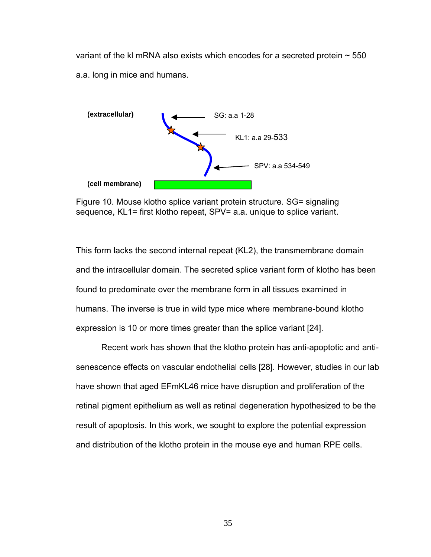variant of the kl mRNA also exists which encodes for a secreted protein  $\sim$  550 a.a. long in mice and humans.



Figure 10. Mouse klotho splice variant protein structure. SG= signaling sequence, KL1= first klotho repeat, SPV= a.a. unique to splice variant.

This form lacks the second internal repeat (KL2), the transmembrane domain and the intracellular domain. The secreted splice variant form of klotho has been found to predominate over the membrane form in all tissues examined in humans. The inverse is true in wild type mice where membrane-bound klotho expression is 10 or more times greater than the splice variant [24].

Recent work has shown that the klotho protein has anti-apoptotic and antisenescence effects on vascular endothelial cells [28]. However, studies in our lab have shown that aged EFmKL46 mice have disruption and proliferation of the retinal pigment epithelium as well as retinal degeneration hypothesized to be the result of apoptosis. In this work, we sought to explore the potential expression and distribution of the klotho protein in the mouse eye and human RPE cells.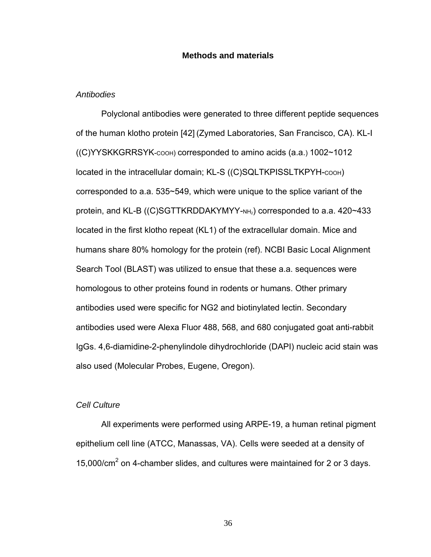### **Methods and materials**

#### *Antibodies*

Polyclonal antibodies were generated to three different peptide sequences of the human klotho protein [42] (Zymed Laboratories, San Francisco, CA). KL-I ((C)YYSKKGRRSYK-COOH) corresponded to amino acids (a.a.) 1002~1012 located in the intracellular domain; KL-S ((C)SQLTKPISSLTKPYH-COOH) corresponded to a.a. 535~549, which were unique to the splice variant of the protein, and KL-B ((C)SGTTKRDDAKYMYY- $NH<sub>2</sub>$ ) corresponded to a.a. 420 $\sim$ 433 located in the first klotho repeat (KL1) of the extracellular domain. Mice and humans share 80% homology for the protein (ref). NCBI Basic Local Alignment Search Tool (BLAST) was utilized to ensue that these a.a. sequences were homologous to other proteins found in rodents or humans. Other primary antibodies used were specific for NG2 and biotinylated lectin. Secondary antibodies used were Alexa Fluor 488, 568, and 680 conjugated goat anti-rabbit IgGs. 4,6-diamidine-2-phenylindole dihydrochloride (DAPI) nucleic acid stain was also used (Molecular Probes, Eugene, Oregon).

## *Cell Culture*

All experiments were performed using ARPE-19, a human retinal pigment epithelium cell line (ATCC, Manassas, VA). Cells were seeded at a density of 15,000/ $\text{cm}^2$  on 4-chamber slides, and cultures were maintained for 2 or 3 days.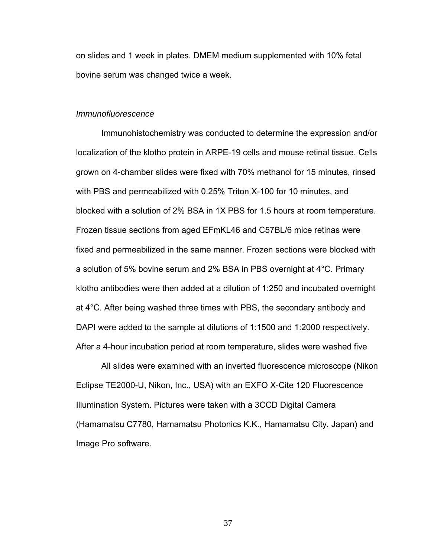on slides and 1 week in plates. DMEM medium supplemented with 10% fetal bovine serum was changed twice a week.

#### *Immunofluorescence*

Immunohistochemistry was conducted to determine the expression and/or localization of the klotho protein in ARPE-19 cells and mouse retinal tissue. Cells grown on 4-chamber slides were fixed with 70% methanol for 15 minutes, rinsed with PBS and permeabilized with 0.25% Triton X-100 for 10 minutes, and blocked with a solution of 2% BSA in 1X PBS for 1.5 hours at room temperature. Frozen tissue sections from aged EFmKL46 and C57BL/6 mice retinas were fixed and permeabilized in the same manner. Frozen sections were blocked with a solution of 5% bovine serum and 2% BSA in PBS overnight at 4°C. Primary klotho antibodies were then added at a dilution of 1:250 and incubated overnight at 4°C. After being washed three times with PBS, the secondary antibody and DAPI were added to the sample at dilutions of 1:1500 and 1:2000 respectively. After a 4-hour incubation period at room temperature, slides were washed five

All slides were examined with an inverted fluorescence microscope (Nikon Eclipse TE2000-U, Nikon, Inc., USA) with an EXFO X-Cite 120 Fluorescence Illumination System. Pictures were taken with a 3CCD Digital Camera (Hamamatsu C7780, Hamamatsu Photonics K.K., Hamamatsu City, Japan) and Image Pro software.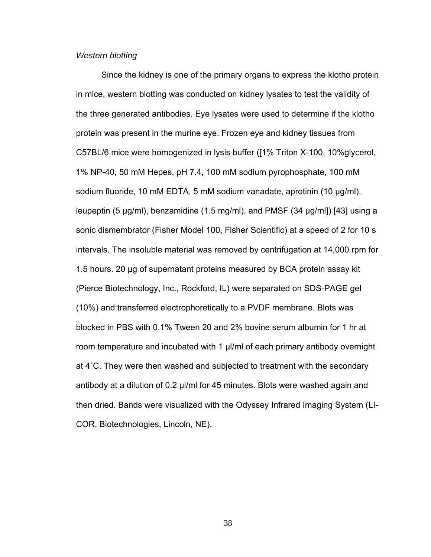#### *Western blotting*

Since the kidney is one of the primary organs to express the klotho protein in mice, western blotting was conducted on kidney lysates to test the validity of the three generated antibodies. Eye lysates were used to determine if the klotho protein was present in the murine eye. Frozen eye and kidney tissues from C57BL/6 mice were homogenized in lysis buffer ([1% Triton X-100, 10%glycerol, 1% NP-40, 50 mM Hepes, pH 7.4, 100 mM sodium pyrophosphate, 100 mM sodium fluoride, 10 mM EDTA, 5 mM sodium vanadate, aprotinin (10 µg/ml), leupeptin (5 µg/ml), benzamidine (1.5 mg/ml), and PMSF (34 µg/ml]) [43] using a sonic dismembrator (Fisher Model 100, Fisher Scientific) at a speed of 2 for 10 s intervals. The insoluble material was removed by centrifugation at 14,000 rpm for 1.5 hours. 20 µg of supernatant proteins measured by BCA protein assay kit (Pierce Biotechnology, Inc., Rockford, IL) were separated on SDS-PAGE gel (10%) and transferred electrophoretically to a PVDF membrane. Blots was blocked in PBS with 0.1% Tween 20 and 2% bovine serum albumin for 1 hr at room temperature and incubated with 1 µl/ml of each primary antibody overnight at 4˚C. They were then washed and subjected to treatment with the secondary antibody at a dilution of 0.2 µl/ml for 45 minutes. Blots were washed again and then dried. Bands were visualized with the Odyssey Infrared Imaging System (LI-COR, Biotechnologies, Lincoln, NE).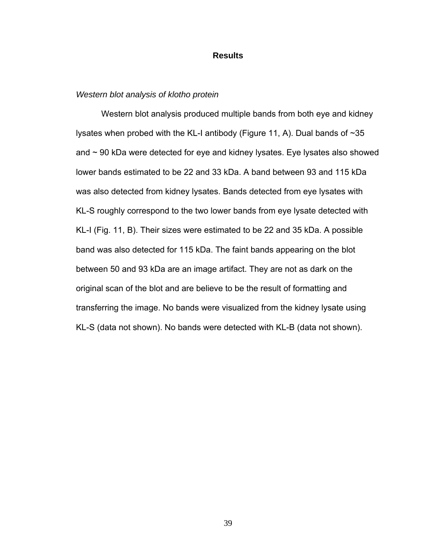#### **Results**

#### *Western blot analysis of klotho protein*

Western blot analysis produced multiple bands from both eye and kidney lysates when probed with the KL-I antibody (Figure 11, A). Dual bands of ~35 and  $\sim$  90 kDa were detected for eye and kidney lysates. Eye lysates also showed lower bands estimated to be 22 and 33 kDa. A band between 93 and 115 kDa was also detected from kidney lysates. Bands detected from eye lysates with KL-S roughly correspond to the two lower bands from eye lysate detected with KL-I (Fig. 11, B). Their sizes were estimated to be 22 and 35 kDa. A possible band was also detected for 115 kDa. The faint bands appearing on the blot between 50 and 93 kDa are an image artifact. They are not as dark on the original scan of the blot and are believe to be the result of formatting and transferring the image. No bands were visualized from the kidney lysate using KL-S (data not shown). No bands were detected with KL-B (data not shown).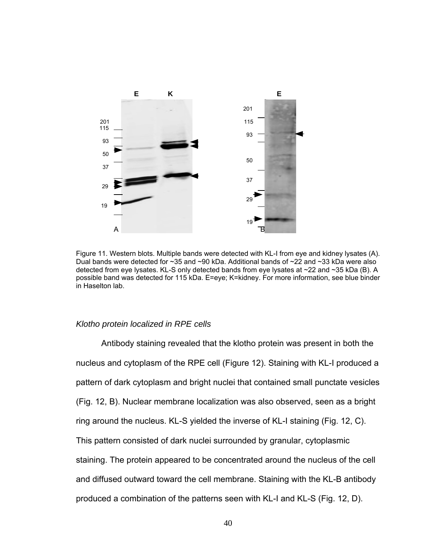

Figure 11. Western blots. Multiple bands were detected with KL-I from eye and kidney lysates (A). Dual bands were detected for ~35 and ~90 kDa. Additional bands of ~22 and ~33 kDa were also detected from eye lysates. KL-S only detected bands from eye lysates at ~22 and ~35 kDa (B). A possible band was detected for 115 kDa. E=eye; K=kidney. For more information, see blue binder in Haselton lab.

## *Klotho protein localized in RPE cells*

Antibody staining revealed that the klotho protein was present in both the nucleus and cytoplasm of the RPE cell (Figure 12). Staining with KL-I produced a pattern of dark cytoplasm and bright nuclei that contained small punctate vesicles (Fig. 12, B). Nuclear membrane localization was also observed, seen as a bright ring around the nucleus. KL-S yielded the inverse of KL-I staining (Fig. 12, C). This pattern consisted of dark nuclei surrounded by granular, cytoplasmic staining. The protein appeared to be concentrated around the nucleus of the cell and diffused outward toward the cell membrane. Staining with the KL-B antibody produced a combination of the patterns seen with KL-I and KL-S (Fig. 12, D).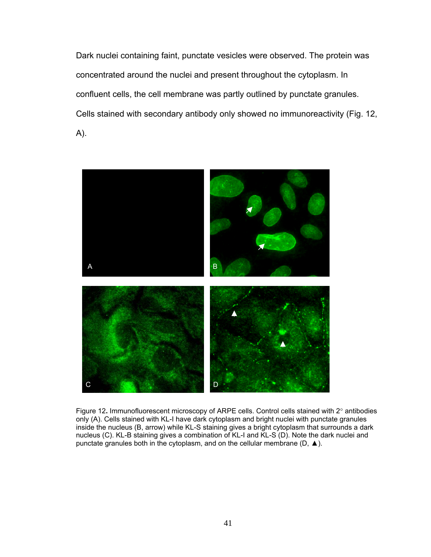Dark nuclei containing faint, punctate vesicles were observed. The protein was concentrated around the nuclei and present throughout the cytoplasm. In confluent cells, the cell membrane was partly outlined by punctate granules. Cells stained with secondary antibody only showed no immunoreactivity (Fig. 12, A).



Figure 12**.** Immunofluorescent microscopy of ARPE cells. Control cells stained with 2° antibodies only (A). Cells stained with KL-I have dark cytoplasm and bright nuclei with punctate granules inside the nucleus (B, arrow) while KL-S staining gives a bright cytoplasm that surrounds a dark nucleus (C). KL-B staining gives a combination of KL-I and KL-S (D). Note the dark nuclei and punctate granules both in the cytoplasm, and on the cellular membrane (D, ▲).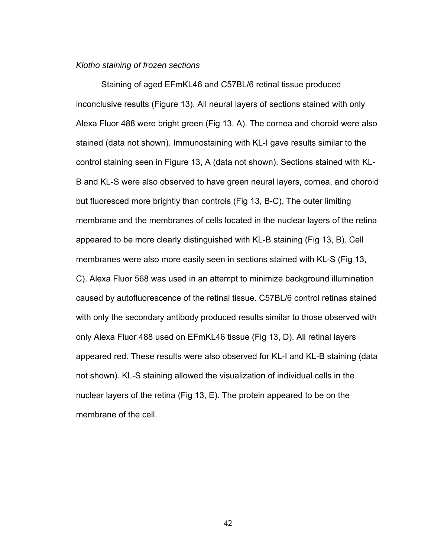#### *Klotho staining of frozen sections*

Staining of aged EFmKL46 and C57BL/6 retinal tissue produced inconclusive results (Figure 13). All neural layers of sections stained with only Alexa Fluor 488 were bright green (Fig 13, A). The cornea and choroid were also stained (data not shown). Immunostaining with KL-I gave results similar to the control staining seen in Figure 13, A (data not shown). Sections stained with KL-B and KL-S were also observed to have green neural layers, cornea, and choroid but fluoresced more brightly than controls (Fig 13, B-C). The outer limiting membrane and the membranes of cells located in the nuclear layers of the retina appeared to be more clearly distinguished with KL-B staining (Fig 13, B). Cell membranes were also more easily seen in sections stained with KL-S (Fig 13, C). Alexa Fluor 568 was used in an attempt to minimize background illumination caused by autofluorescence of the retinal tissue. C57BL/6 control retinas stained with only the secondary antibody produced results similar to those observed with only Alexa Fluor 488 used on EFmKL46 tissue (Fig 13, D). All retinal layers appeared red. These results were also observed for KL-I and KL-B staining (data not shown). KL-S staining allowed the visualization of individual cells in the nuclear layers of the retina (Fig 13, E). The protein appeared to be on the membrane of the cell.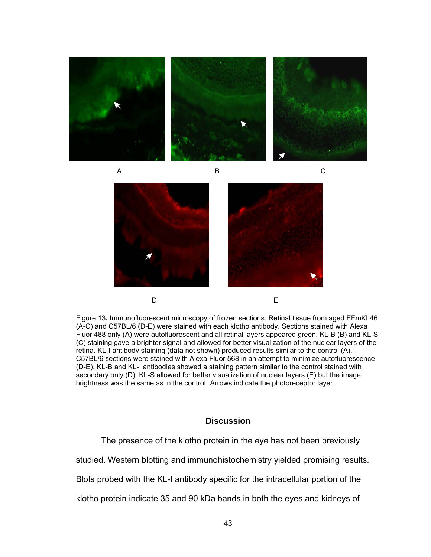



Figure 13**.** Immunofluorescent microscopy of frozen sections. Retinal tissue from aged EFmKL46 (A-C) and C57BL/6 (D-E) were stained with each klotho antibody. Sections stained with Alexa Fluor 488 only (A) were autofluorescent and all retinal layers appeared green. KL-B (B) and KL-S (C) staining gave a brighter signal and allowed for better visualization of the nuclear layers of the retina. KL-I antibody staining (data not shown) produced results similar to the control (A). C57BL/6 sections were stained with Alexa Fluor 568 in an attempt to minimize autofluorescence (D-E). KL-B and KL-I antibodies showed a staining pattern similar to the control stained with secondary only (D). KL-S allowed for better visualization of nuclear layers (E) but the image brightness was the same as in the control. Arrows indicate the photoreceptor layer.

## **Discussion**

The presence of the klotho protein in the eye has not been previously

studied. Western blotting and immunohistochemistry yielded promising results.

Blots probed with the KL-I antibody specific for the intracellular portion of the

klotho protein indicate 35 and 90 kDa bands in both the eyes and kidneys of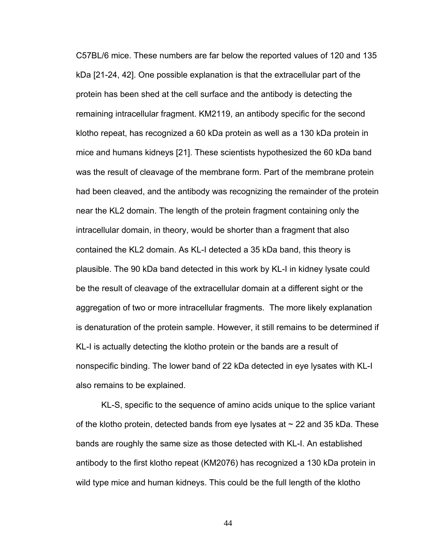C57BL/6 mice. These numbers are far below the reported values of 120 and 135 kDa [21-24, 42]. One possible explanation is that the extracellular part of the protein has been shed at the cell surface and the antibody is detecting the remaining intracellular fragment. KM2119, an antibody specific for the second klotho repeat, has recognized a 60 kDa protein as well as a 130 kDa protein in mice and humans kidneys [21]. These scientists hypothesized the 60 kDa band was the result of cleavage of the membrane form. Part of the membrane protein had been cleaved, and the antibody was recognizing the remainder of the protein near the KL2 domain. The length of the protein fragment containing only the intracellular domain, in theory, would be shorter than a fragment that also contained the KL2 domain. As KL-I detected a 35 kDa band, this theory is plausible. The 90 kDa band detected in this work by KL-I in kidney lysate could be the result of cleavage of the extracellular domain at a different sight or the aggregation of two or more intracellular fragments. The more likely explanation is denaturation of the protein sample. However, it still remains to be determined if KL-I is actually detecting the klotho protein or the bands are a result of nonspecific binding. The lower band of 22 kDa detected in eye lysates with KL-I also remains to be explained.

KL-S, specific to the sequence of amino acids unique to the splice variant of the klotho protein, detected bands from eye lysates at  $\sim$  22 and 35 kDa. These bands are roughly the same size as those detected with KL-I. An established antibody to the first klotho repeat (KM2076) has recognized a 130 kDa protein in wild type mice and human kidneys. This could be the full length of the klotho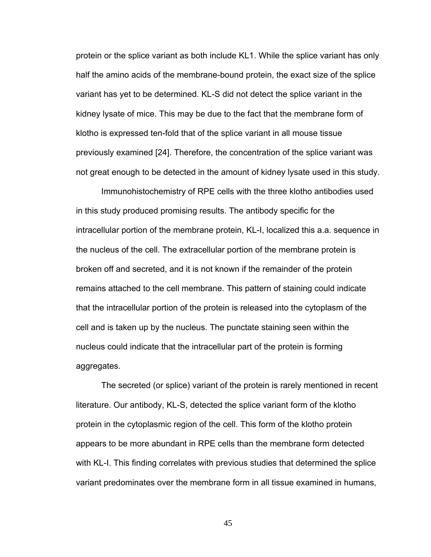protein or the splice variant as both include KL1. While the splice variant has only half the amino acids of the membrane-bound protein, the exact size of the splice variant has yet to be determined. KL-S did not detect the splice variant in the kidney lysate of mice. This may be due to the fact that the membrane form of klotho is expressed ten-fold that of the splice variant in all mouse tissue previously examined [24]. Therefore, the concentration of the splice variant was not great enough to be detected in the amount of kidney lysate used in this study.

Immunohistochemistry of RPE cells with the three klotho antibodies used in this study produced promising results. The antibody specific for the intracellular portion of the membrane protein, KL-I, localized this a.a. sequence in the nucleus of the cell. The extracellular portion of the membrane protein is broken off and secreted, and it is not known if the remainder of the protein remains attached to the cell membrane. This pattern of staining could indicate that the intracellular portion of the protein is released into the cytoplasm of the cell and is taken up by the nucleus. The punctate staining seen within the nucleus could indicate that the intracellular part of the protein is forming aggregates.

The secreted (or splice) variant of the protein is rarely mentioned in recent literature. Our antibody, KL-S, detected the splice variant form of the klotho protein in the cytoplasmic region of the cell. This form of the klotho protein appears to be more abundant in RPE cells than the membrane form detected with KL-I. This finding correlates with previous studies that determined the splice variant predominates over the membrane form in all tissue examined in humans,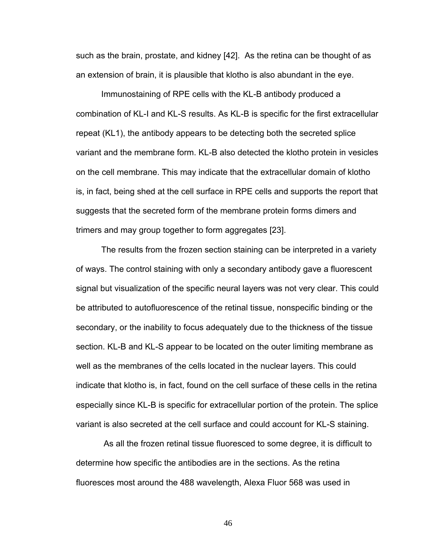such as the brain, prostate, and kidney [42]. As the retina can be thought of as an extension of brain, it is plausible that klotho is also abundant in the eye.

Immunostaining of RPE cells with the KL-B antibody produced a combination of KL-I and KL-S results. As KL-B is specific for the first extracellular repeat (KL1), the antibody appears to be detecting both the secreted splice variant and the membrane form. KL-B also detected the klotho protein in vesicles on the cell membrane. This may indicate that the extracellular domain of klotho is, in fact, being shed at the cell surface in RPE cells and supports the report that suggests that the secreted form of the membrane protein forms dimers and trimers and may group together to form aggregates [23].

The results from the frozen section staining can be interpreted in a variety of ways. The control staining with only a secondary antibody gave a fluorescent signal but visualization of the specific neural layers was not very clear. This could be attributed to autofluorescence of the retinal tissue, nonspecific binding or the secondary, or the inability to focus adequately due to the thickness of the tissue section. KL-B and KL-S appear to be located on the outer limiting membrane as well as the membranes of the cells located in the nuclear layers. This could indicate that klotho is, in fact, found on the cell surface of these cells in the retina especially since KL-B is specific for extracellular portion of the protein. The splice variant is also secreted at the cell surface and could account for KL-S staining.

 As all the frozen retinal tissue fluoresced to some degree, it is difficult to determine how specific the antibodies are in the sections. As the retina fluoresces most around the 488 wavelength, Alexa Fluor 568 was used in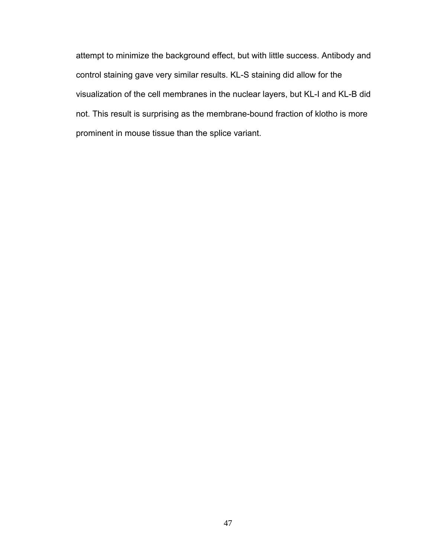attempt to minimize the background effect, but with little success. Antibody and control staining gave very similar results. KL-S staining did allow for the visualization of the cell membranes in the nuclear layers, but KL-I and KL-B did not. This result is surprising as the membrane-bound fraction of klotho is more prominent in mouse tissue than the splice variant.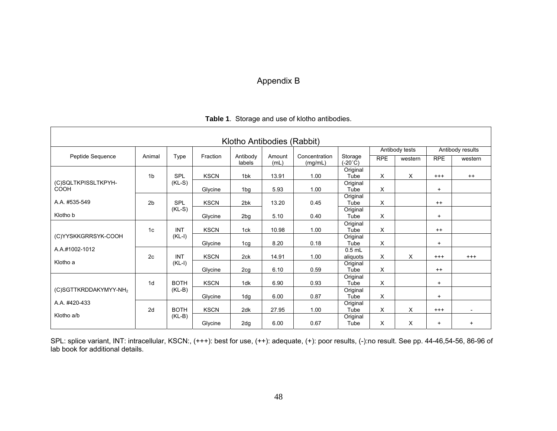# Appendix B

| Klotho Antibodies (Rabbit)         |                |             |             |                    |                |                          |                             |                |         |                  |         |
|------------------------------------|----------------|-------------|-------------|--------------------|----------------|--------------------------|-----------------------------|----------------|---------|------------------|---------|
|                                    |                | Type        | Fraction    | Antibody<br>labels | Amount<br>(mL) | Concentration<br>(mg/mL) | Storage<br>$(-20^{\circ}C)$ | Antibody tests |         | Antibody results |         |
| Peptide Sequence                   | Animal         |             |             |                    |                |                          |                             | <b>RPE</b>     | western | <b>RPE</b>       | western |
|                                    | 1 <sub>b</sub> | <b>SPL</b>  | <b>KSCN</b> | 1 <sub>bk</sub>    | 13.91          | 1.00                     | Original<br>Tube            | X              | X       | $^{+++}$         | $^{++}$ |
| (C)SQLTKPISSLTKPYH-<br><b>COOH</b> |                | $(KL-S)$    | Glycine     | 1bg                | 5.93           | 1.00                     | Original<br>Tube            | X              |         | $\ddot{}$        |         |
| A.A. #535-549                      | 2 <sub>b</sub> | SPL         | <b>KSCN</b> | 2 <sub>bk</sub>    | 13.20          | 0.45                     | Original<br>Tube            | X              |         | $++$             |         |
| Klotho b                           |                | $(KL-S)$    | Glycine     | 2bg                | 5.10           | 0.40                     | Original<br>Tube            | X              |         | $+$              |         |
|                                    | 1c             | <b>INT</b>  | <b>KSCN</b> | 1ck                | 10.98          | 1.00                     | Original<br>Tube            | X              |         | $++$             |         |
| (C)YYSKKGRRSYK-COOH                |                | $(KL-I)$    | Glycine     | 1 <sub>cg</sub>    | 8.20           | 0.18                     | Original<br>Tube            | X              |         | $+$              |         |
| A.A.#1002-1012                     | 2c             | <b>INT</b>  | <b>KSCN</b> | 2ck                | 14.91          | 1.00                     | $0.5$ mL<br>aliquots        | X              | X       | $^{+++}$         | $+++$   |
| Klotho a                           |                | $(KL-I)$    | Glycine     | 2cg                | 6.10           | 0.59                     | Original<br>Tube            | X              |         | $^{++}$          |         |
|                                    | 1 <sub>d</sub> | <b>BOTH</b> | <b>KSCN</b> | 1dk                | 6.90           | 0.93                     | Original<br>Tube            | X              |         | $\ddot{}$        |         |
| (C)SGTTKRDDAKYMYY-NH <sub>2</sub>  |                | $(KL-B)$    | Glycine     | 1dg                | 6.00           | 0.87                     | Original<br>Tube            | X              |         | $+$              |         |
| A.A. #420-433                      | 2d             | <b>BOTH</b> | <b>KSCN</b> | 2dk                | 27.95          | 1.00                     | Original<br>Tube            | X              | х       | $^{+++}$         |         |
| Klotho a/b                         |                | $(KL-B)$    | Glycine     | 2dg                | 6.00           | 0.67                     | Original<br>Tube            | $\times$       | X       | $+$              | $+$     |

SPL: splice variant, INT: intracellular, KSCN:, (+++): best for use, (++): adequate, (+): poor results, (-):no result. See pp. 44-46,54-56, 86-96 of lab book for additional details.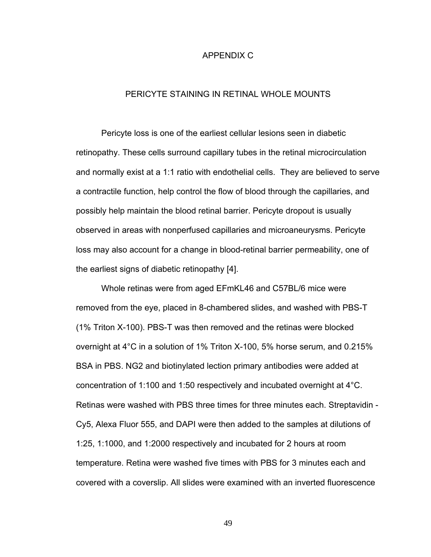#### APPENDIX C

## PERICYTE STAINING IN RETINAL WHOLE MOUNTS

Pericyte loss is one of the earliest cellular lesions seen in diabetic retinopathy. These cells surround capillary tubes in the retinal microcirculation and normally exist at a 1:1 ratio with endothelial cells. They are believed to serve a contractile function, help control the flow of blood through the capillaries, and possibly help maintain the blood retinal barrier. Pericyte dropout is usually observed in areas with nonperfused capillaries and microaneurysms. Pericyte loss may also account for a change in blood-retinal barrier permeability, one of the earliest signs of diabetic retinopathy [4].

Whole retinas were from aged EFmKL46 and C57BL/6 mice were removed from the eye, placed in 8-chambered slides, and washed with PBS-T (1% Triton X-100). PBS-T was then removed and the retinas were blocked overnight at 4°C in a solution of 1% Triton X-100, 5% horse serum, and 0.215% BSA in PBS. NG2 and biotinylated lection primary antibodies were added at concentration of 1:100 and 1:50 respectively and incubated overnight at 4°C. Retinas were washed with PBS three times for three minutes each. Streptavidin - Cy5, Alexa Fluor 555, and DAPI were then added to the samples at dilutions of 1:25, 1:1000, and 1:2000 respectively and incubated for 2 hours at room temperature. Retina were washed five times with PBS for 3 minutes each and covered with a coverslip. All slides were examined with an inverted fluorescence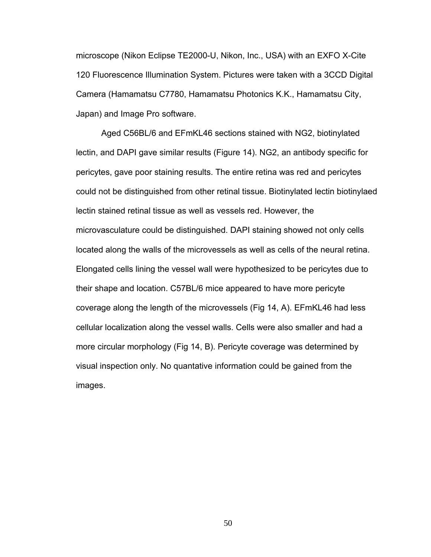microscope (Nikon Eclipse TE2000-U, Nikon, Inc., USA) with an EXFO X-Cite 120 Fluorescence Illumination System. Pictures were taken with a 3CCD Digital Camera (Hamamatsu C7780, Hamamatsu Photonics K.K., Hamamatsu City, Japan) and Image Pro software.

 Aged C56BL/6 and EFmKL46 sections stained with NG2, biotinylated lectin, and DAPI gave similar results (Figure 14). NG2, an antibody specific for pericytes, gave poor staining results. The entire retina was red and pericytes could not be distinguished from other retinal tissue. Biotinylated lectin biotinylaed lectin stained retinal tissue as well as vessels red. However, the microvasculature could be distinguished. DAPI staining showed not only cells located along the walls of the microvessels as well as cells of the neural retina. Elongated cells lining the vessel wall were hypothesized to be pericytes due to their shape and location. C57BL/6 mice appeared to have more pericyte coverage along the length of the microvessels (Fig 14, A). EFmKL46 had less cellular localization along the vessel walls. Cells were also smaller and had a more circular morphology (Fig 14, B). Pericyte coverage was determined by visual inspection only. No quantative information could be gained from the images.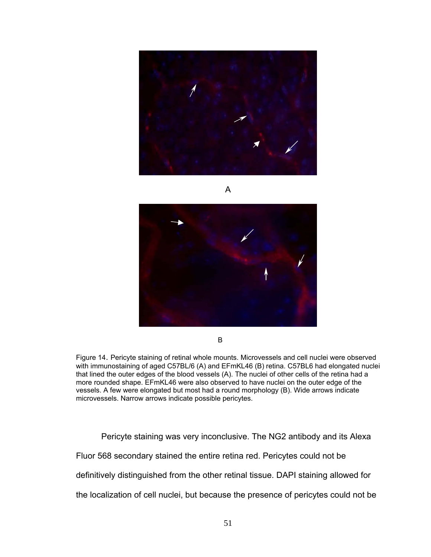





**B** 

Figure 14. Pericyte staining of retinal whole mounts. Microvessels and cell nuclei were observed with immunostaining of aged C57BL/6 (A) and EFmKL46 (B) retina. C57BL6 had elongated nuclei that lined the outer edges of the blood vessels (A). The nuclei of other cells of the retina had a more rounded shape. EFmKL46 were also observed to have nuclei on the outer edge of the vessels. A few were elongated but most had a round morphology (B). Wide arrows indicate microvessels. Narrow arrows indicate possible pericytes.

Pericyte staining was very inconclusive. The NG2 antibody and its Alexa Fluor 568 secondary stained the entire retina red. Pericytes could not be definitively distinguished from the other retinal tissue. DAPI staining allowed for the localization of cell nuclei, but because the presence of pericytes could not be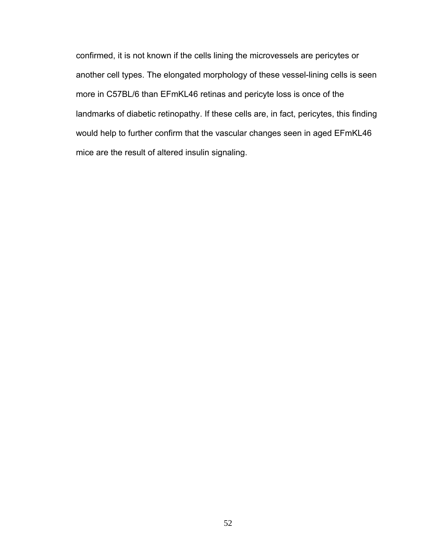confirmed, it is not known if the cells lining the microvessels are pericytes or another cell types. The elongated morphology of these vessel-lining cells is seen more in C57BL/6 than EFmKL46 retinas and pericyte loss is once of the landmarks of diabetic retinopathy. If these cells are, in fact, pericytes, this finding would help to further confirm that the vascular changes seen in aged EFmKL46 mice are the result of altered insulin signaling.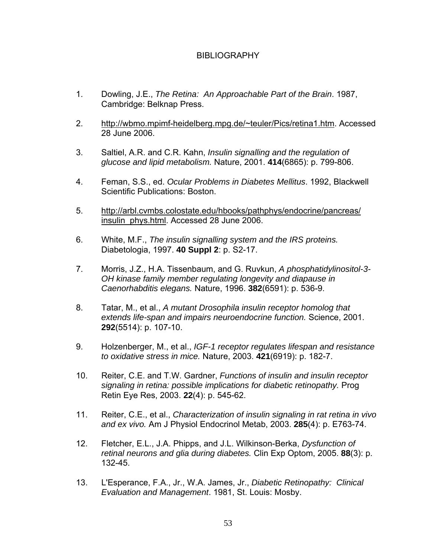# BIBLIOGRAPHY

- 1. Dowling, J.E., *The Retina: An Approachable Part of the Brain*. 1987, Cambridge: Belknap Press.
- 2. http://wbmo.mpimf-heidelberg.mpg.de/~teuler/Pics/retina1.htm. Accessed 28 June 2006.
- 3. Saltiel, A.R. and C.R. Kahn, *Insulin signalling and the regulation of glucose and lipid metabolism.* Nature, 2001. **414**(6865): p. 799-806.
- 4. Feman, S.S., ed. *Ocular Problems in Diabetes Mellitus*. 1992, Blackwell Scientific Publications: Boston.
- 5. http://arbl.cvmbs.colostate.edu/hbooks/pathphys/endocrine/pancreas/ insulin\_phys.html. Accessed 28 June 2006.
- 6. White, M.F., *The insulin signalling system and the IRS proteins.* Diabetologia, 1997. **40 Suppl 2**: p. S2-17.
- 7. Morris, J.Z., H.A. Tissenbaum, and G. Ruvkun, *A phosphatidylinositol-3- OH kinase family member regulating longevity and diapause in Caenorhabditis elegans.* Nature, 1996. **382**(6591): p. 536-9.
- 8. Tatar, M., et al., *A mutant Drosophila insulin receptor homolog that extends life-span and impairs neuroendocrine function.* Science, 2001. **292**(5514): p. 107-10.
- 9. Holzenberger, M., et al., *IGF-1 receptor regulates lifespan and resistance to oxidative stress in mice.* Nature, 2003. **421**(6919): p. 182-7.
- 10. Reiter, C.E. and T.W. Gardner, *Functions of insulin and insulin receptor signaling in retina: possible implications for diabetic retinopathy.* Prog Retin Eye Res, 2003. **22**(4): p. 545-62.
- 11. Reiter, C.E., et al., *Characterization of insulin signaling in rat retina in vivo and ex vivo.* Am J Physiol Endocrinol Metab, 2003. **285**(4): p. E763-74.
- 12. Fletcher, E.L., J.A. Phipps, and J.L. Wilkinson-Berka, *Dysfunction of retinal neurons and glia during diabetes.* Clin Exp Optom, 2005. **88**(3): p. 132-45.
- 13. L'Esperance, F.A., Jr., W.A. James, Jr., *Diabetic Retinopathy: Clinical Evaluation and Management*. 1981, St. Louis: Mosby.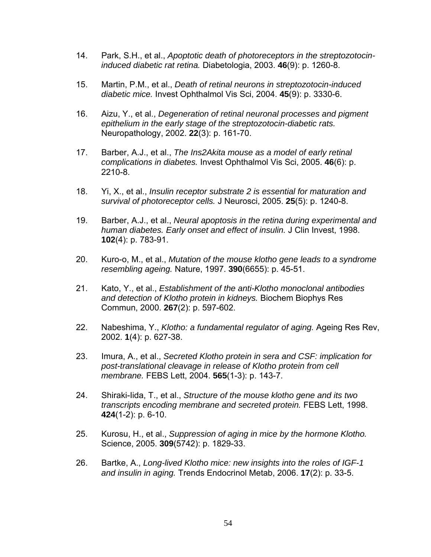- 14. Park, S.H., et al., *Apoptotic death of photoreceptors in the streptozotocininduced diabetic rat retina.* Diabetologia, 2003. **46**(9): p. 1260-8.
- 15. Martin, P.M., et al., *Death of retinal neurons in streptozotocin-induced diabetic mice.* Invest Ophthalmol Vis Sci, 2004. **45**(9): p. 3330-6.
- 16. Aizu, Y., et al., *Degeneration of retinal neuronal processes and pigment epithelium in the early stage of the streptozotocin-diabetic rats.* Neuropathology, 2002. **22**(3): p. 161-70.
- 17. Barber, A.J., et al., *The Ins2Akita mouse as a model of early retinal complications in diabetes.* Invest Ophthalmol Vis Sci, 2005. **46**(6): p. 2210-8.
- 18. Yi, X., et al., *Insulin receptor substrate 2 is essential for maturation and survival of photoreceptor cells.* J Neurosci, 2005. **25**(5): p. 1240-8.
- 19. Barber, A.J., et al., *Neural apoptosis in the retina during experimental and human diabetes. Early onset and effect of insulin.* J Clin Invest, 1998. **102**(4): p. 783-91.
- 20. Kuro-o, M., et al., *Mutation of the mouse klotho gene leads to a syndrome resembling ageing.* Nature, 1997. **390**(6655): p. 45-51.
- 21. Kato, Y., et al., *Establishment of the anti-Klotho monoclonal antibodies and detection of Klotho protein in kidneys.* Biochem Biophys Res Commun, 2000. **267**(2): p. 597-602.
- 22. Nabeshima, Y., *Klotho: a fundamental regulator of aging.* Ageing Res Rev, 2002. **1**(4): p. 627-38.
- 23. Imura, A., et al., *Secreted Klotho protein in sera and CSF: implication for post-translational cleavage in release of Klotho protein from cell membrane.* FEBS Lett, 2004. **565**(1-3): p. 143-7.
- 24. Shiraki-Iida, T., et al., *Structure of the mouse klotho gene and its two transcripts encoding membrane and secreted protein.* FEBS Lett, 1998. **424**(1-2): p. 6-10.
- 25. Kurosu, H., et al., *Suppression of aging in mice by the hormone Klotho.* Science, 2005. **309**(5742): p. 1829-33.
- 26. Bartke, A., *Long-lived Klotho mice: new insights into the roles of IGF-1 and insulin in aging.* Trends Endocrinol Metab, 2006. **17**(2): p. 33-5.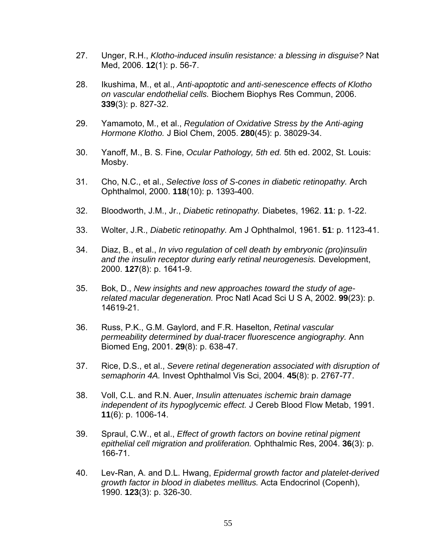- 27. Unger, R.H., *Klotho-induced insulin resistance: a blessing in disguise?* Nat Med, 2006. **12**(1): p. 56-7.
- 28. Ikushima, M., et al., *Anti-apoptotic and anti-senescence effects of Klotho on vascular endothelial cells.* Biochem Biophys Res Commun, 2006. **339**(3): p. 827-32.
- 29. Yamamoto, M., et al., *Regulation of Oxidative Stress by the Anti-aging Hormone Klotho.* J Biol Chem, 2005. **280**(45): p. 38029-34.
- 30. Yanoff, M., B. S. Fine, *Ocular Pathology, 5th ed.* 5th ed. 2002, St. Louis: Mosby.
- 31. Cho, N.C., et al., *Selective loss of S-cones in diabetic retinopathy.* Arch Ophthalmol, 2000. **118**(10): p. 1393-400.
- 32. Bloodworth, J.M., Jr., *Diabetic retinopathy.* Diabetes, 1962. **11**: p. 1-22.
- 33. Wolter, J.R., *Diabetic retinopathy.* Am J Ophthalmol, 1961. **51**: p. 1123-41.
- 34. Diaz, B., et al., *In vivo regulation of cell death by embryonic (pro)insulin and the insulin receptor during early retinal neurogenesis.* Development, 2000. **127**(8): p. 1641-9.
- 35. Bok, D., *New insights and new approaches toward the study of agerelated macular degeneration.* Proc Natl Acad Sci U S A, 2002. **99**(23): p. 14619-21.
- 36. Russ, P.K., G.M. Gaylord, and F.R. Haselton, *Retinal vascular permeability determined by dual-tracer fluorescence angiography.* Ann Biomed Eng, 2001. **29**(8): p. 638-47.
- 37. Rice, D.S., et al., *Severe retinal degeneration associated with disruption of semaphorin 4A.* Invest Ophthalmol Vis Sci, 2004. **45**(8): p. 2767-77.
- 38. Voll, C.L. and R.N. Auer, *Insulin attenuates ischemic brain damage independent of its hypoglycemic effect.* J Cereb Blood Flow Metab, 1991. **11**(6): p. 1006-14.
- 39. Spraul, C.W., et al., *Effect of growth factors on bovine retinal pigment epithelial cell migration and proliferation.* Ophthalmic Res, 2004. **36**(3): p. 166-71.
- 40. Lev-Ran, A. and D.L. Hwang, *Epidermal growth factor and platelet-derived growth factor in blood in diabetes mellitus.* Acta Endocrinol (Copenh), 1990. **123**(3): p. 326-30.